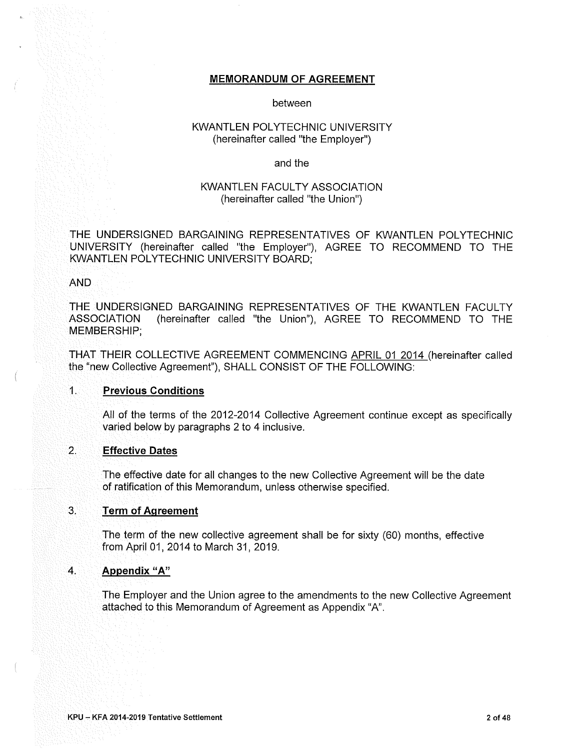#### **MEMORANDUM OF AGREEMENT**

#### between

## KWANTLEN POLYTECHNIC UNIVERSITY (hereinafter called "the Employer")

#### and the

### **KWANTLEN FACULTY ASSOCIATION** (hereinafter called "the Union")

THE UNDERSIGNED BARGAINING REPRESENTATIVES OF KWANTLEN POLYTECHNIC UNIVERSITY (hereinafter called "the Employer"), AGREE TO RECOMMEND TO THE KWANTLEN POLYTECHNIC UNIVERSITY BOARD:

#### **AND**

THE UNDERSIGNED BARGAINING REPRESENTATIVES OF THE KWANTLEN FACULTY ASSOCIATION (hereinafter called "the Union"), AGREE TO RECOMMEND TO THE MEMBERSHIP:

THAT THEIR COLLECTIVE AGREEMENT COMMENCING APRIL 01 2014 (hereinafter called the "new Collective Agreement"), SHALL CONSIST OF THE FOLLOWING:

#### $1.$ **Previous Conditions**

All of the terms of the 2012-2014 Collective Agreement continue except as specifically varied below by paragraphs 2 to 4 inclusive.

#### $\overline{2}$ . **Effective Dates**

The effective date for all changes to the new Collective Agreement will be the date of ratification of this Memorandum, unless otherwise specified.

#### 3. **Term of Agreement**

The term of the new collective agreement shall be for sixty (60) months, effective from April 01, 2014 to March 31, 2019.

#### $\mathbf{A}$ . **Appendix "A"**

The Employer and the Union agree to the amendments to the new Collective Agreement attached to this Memorandum of Agreement as Appendix "A".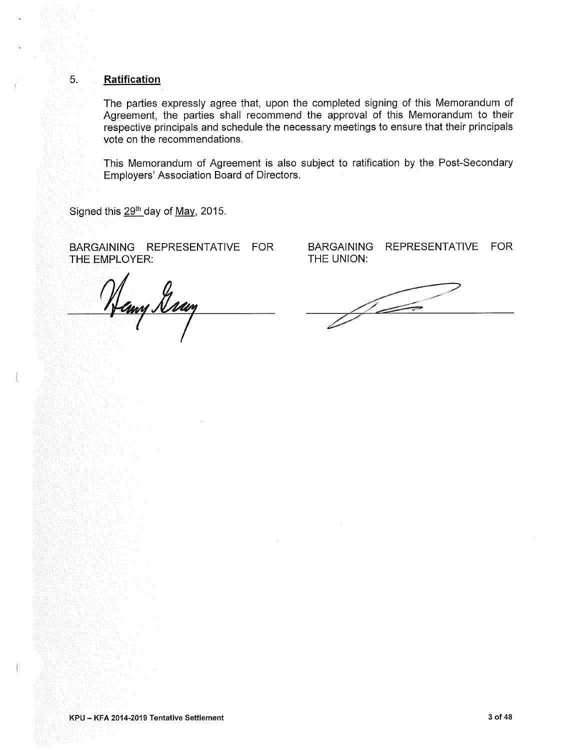#### **Ratification**

 $5<sub>1</sub>$ 

The parties expressly agree that, upon the completed signing of this Memorandum of Agreement, the parties shall recommend the approval of this Memorandum to their respective principals and schedule the necessary meetings to ensure that their principals vote on the recommendations.

This Memorandum of Agreement is also subject to ratification by the Post-Secondary Employers' Association Board of Directors.

Signed this 29<sup>th</sup> day of May, 2015.

BARGAINING REPRESENTATIVE FOR THE EMPLOYER:

Hany Gray

BARGAINING REPRESENTATIVE FOR THE UNION:

 $\frac{1}{2}$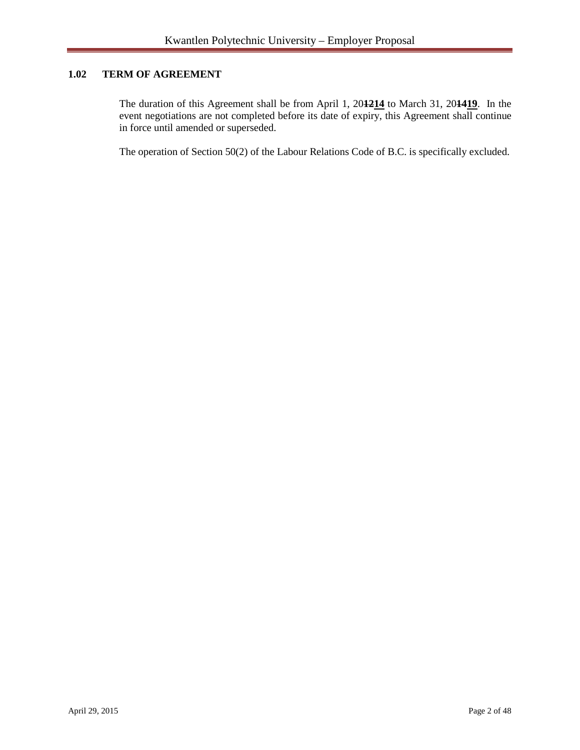# **1.02 TERM OF AGREEMENT**

The duration of this Agreement shall be from April 1, 20**1214** to March 31, 20**1419**. In the event negotiations are not completed before its date of expiry, this Agreement shall continue in force until amended or superseded.

The operation of Section 50(2) of the Labour Relations Code of B.C. is specifically excluded.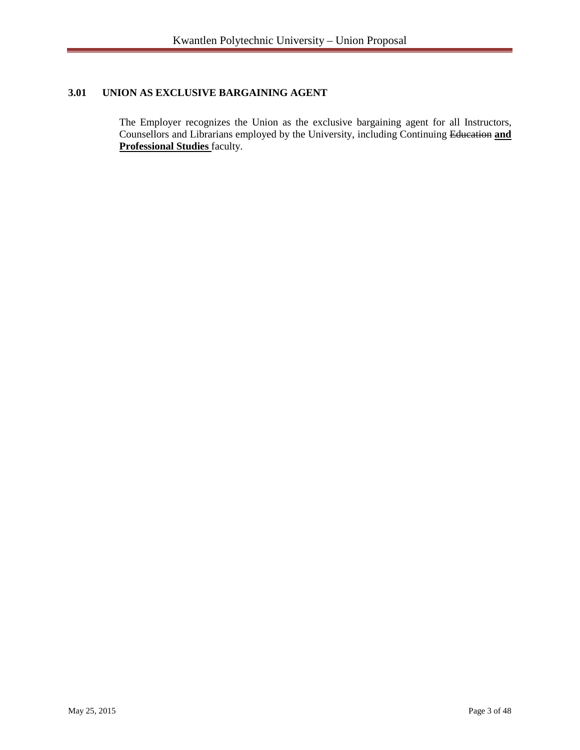# **3.01 UNION AS EXCLUSIVE BARGAINING AGENT**

The Employer recognizes the Union as the exclusive bargaining agent for all Instructors, Counsellors and Librarians employed by the University, including Continuing Education **and Professional Studies** faculty.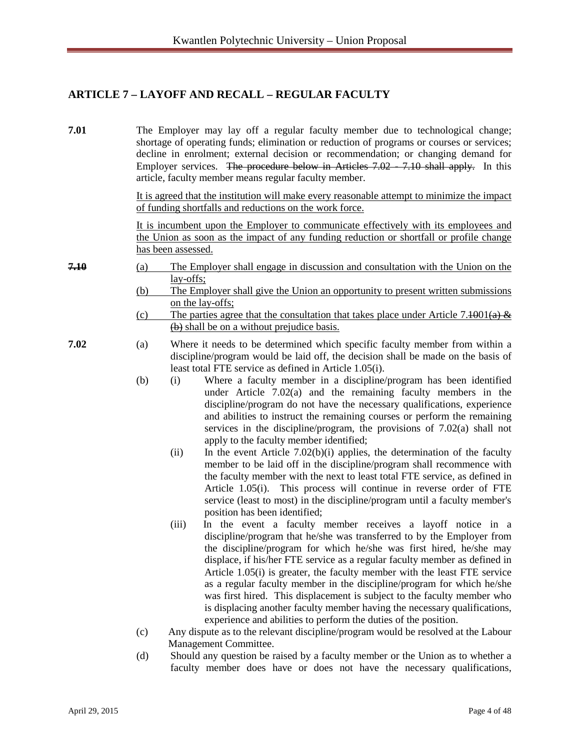# **ARTICLE 7 – LAYOFF AND RECALL – REGULAR FACULTY**

**7.01** The Employer may lay off a regular faculty member due to technological change; shortage of operating funds; elimination or reduction of programs or courses or services; decline in enrolment; external decision or recommendation; or changing demand for Employer services. The procedure below in Articles 7.02 - 7.10 shall apply. In this article, faculty member means regular faculty member.

> It is agreed that the institution will make every reasonable attempt to minimize the impact of funding shortfalls and reductions on the work force.

> It is incumbent upon the Employer to communicate effectively with its employees and the Union as soon as the impact of any funding reduction or shortfall or profile change has been assessed.

- **7.10** (a) The Employer shall engage in discussion and consultation with the Union on the lay-offs;
	- (b) The Employer shall give the Union an opportunity to present written submissions on the lay-offs;
	- (c) The parties agree that the consultation that takes place under Article 7.4001(a)  $\&$ (b) shall be on a without prejudice basis.
- **7.02** (a) Where it needs to be determined which specific faculty member from within a discipline/program would be laid off, the decision shall be made on the basis of least total FTE service as defined in Article 1.05(i).
	- (b) (i) Where a faculty member in a discipline/program has been identified under Article 7.02(a) and the remaining faculty members in the discipline/program do not have the necessary qualifications, experience and abilities to instruct the remaining courses or perform the remaining services in the discipline/program, the provisions of 7.02(a) shall not apply to the faculty member identified;
		- (ii) In the event Article  $7.02(b)(i)$  applies, the determination of the faculty member to be laid off in the discipline/program shall recommence with the faculty member with the next to least total FTE service, as defined in Article 1.05(i). This process will continue in reverse order of FTE service (least to most) in the discipline/program until a faculty member's position has been identified;
		- (iii) In the event a faculty member receives a layoff notice in a discipline/program that he/she was transferred to by the Employer from the discipline/program for which he/she was first hired, he/she may displace, if his/her FTE service as a regular faculty member as defined in Article 1.05(i) is greater, the faculty member with the least FTE service as a regular faculty member in the discipline/program for which he/she was first hired. This displacement is subject to the faculty member who is displacing another faculty member having the necessary qualifications, experience and abilities to perform the duties of the position.
	- (c) Any dispute as to the relevant discipline/program would be resolved at the Labour Management Committee.
	- (d) Should any question be raised by a faculty member or the Union as to whether a faculty member does have or does not have the necessary qualifications,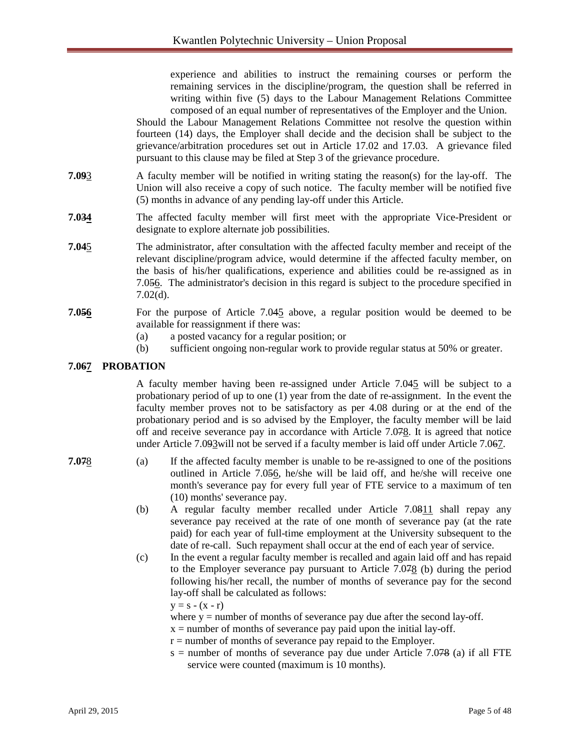experience and abilities to instruct the remaining courses or perform the remaining services in the discipline/program, the question shall be referred in writing within five (5) days to the Labour Management Relations Committee composed of an equal number of representatives of the Employer and the Union.

Should the Labour Management Relations Committee not resolve the question within fourteen (14) days, the Employer shall decide and the decision shall be subject to the grievance/arbitration procedures set out in Article 17.02 and 17.03. A grievance filed pursuant to this clause may be filed at Step 3 of the grievance procedure.

- **7.09**3 A faculty member will be notified in writing stating the reason(s) for the lay-off. The Union will also receive a copy of such notice. The faculty member will be notified five (5) months in advance of any pending lay-off under this Article.
- **7.034** The affected faculty member will first meet with the appropriate Vice-President or designate to explore alternate job possibilities.
- **7.04**5 The administrator, after consultation with the affected faculty member and receipt of the relevant discipline/program advice, would determine if the affected faculty member, on the basis of his/her qualifications, experience and abilities could be re-assigned as in 7.056. The administrator's decision in this regard is subject to the procedure specified in 7.02(d).
- **7.056** For the purpose of Article 7.045 above, a regular position would be deemed to be available for reassignment if there was:
	- (a) a posted vacancy for a regular position; or
	- (b) sufficient ongoing non-regular work to provide regular status at 50% or greater.

#### **7.067 PROBATION**

A faculty member having been re-assigned under Article 7.045 will be subject to a probationary period of up to one (1) year from the date of re-assignment. In the event the faculty member proves not to be satisfactory as per 4.08 during or at the end of the probationary period and is so advised by the Employer, the faculty member will be laid off and receive severance pay in accordance with Article 7.078. It is agreed that notice under Article 7.093 will not be served if a faculty member is laid off under Article 7.067.

- **7.07**8 (a) If the affected faculty member is unable to be re-assigned to one of the positions outlined in Article 7.056, he/she will be laid off, and he/she will receive one month's severance pay for every full year of FTE service to a maximum of ten (10) months' severance pay.
	- (b) A regular faculty member recalled under Article 7.0811 shall repay any severance pay received at the rate of one month of severance pay (at the rate paid) for each year of full-time employment at the University subsequent to the date of re-call. Such repayment shall occur at the end of each year of service.
	- (c) In the event a regular faculty member is recalled and again laid off and has repaid to the Employer severance pay pursuant to Article 7.078 (b) during the period following his/her recall, the number of months of severance pay for the second lay-off shall be calculated as follows:

 $y = s - (x - r)$ 

- where  $y =$  number of months of severance pay due after the second lay-off.
- $x =$  number of months of severance pay paid upon the initial lay-off.
- $r =$  number of months of severance pay repaid to the Employer.
- $s =$  number of months of severance pay due under Article 7.078 (a) if all FTE service were counted (maximum is 10 months).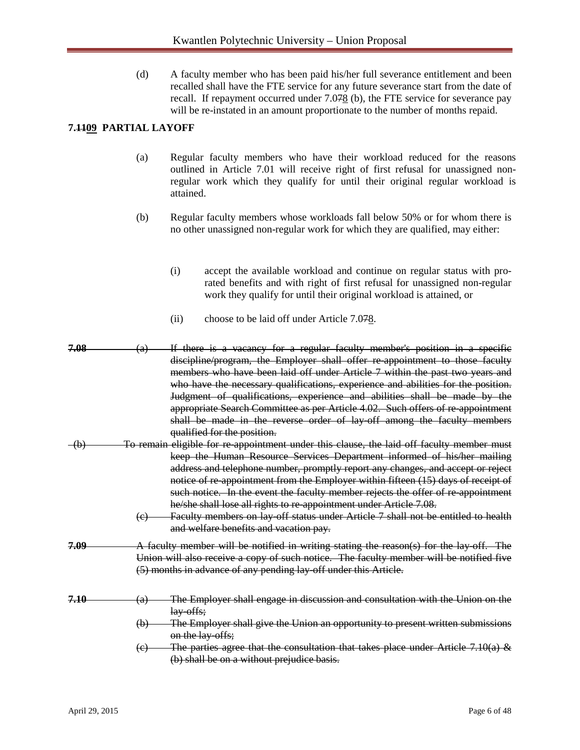(d) A faculty member who has been paid his/her full severance entitlement and been recalled shall have the FTE service for any future severance start from the date of recall. If repayment occurred under  $7.078$  (b), the FTE service for severance pay will be re-instated in an amount proportionate to the number of months repaid.

# **7.1109 PARTIAL LAYOFF**

- (a) Regular faculty members who have their workload reduced for the reasons outlined in Article 7.01 will receive right of first refusal for unassigned nonregular work which they qualify for until their original regular workload is attained.
- (b) Regular faculty members whose workloads fall below 50% or for whom there is no other unassigned non-regular work for which they are qualified, may either:
	- (i) accept the available workload and continue on regular status with prorated benefits and with right of first refusal for unassigned non-regular work they qualify for until their original workload is attained, or
	- (ii) choose to be laid off under Article 7.078.
- **7.08** (a) If there is a vacancy for a regular faculty member's position in a specific discipline/program, the Employer shall offer re-appointment to those faculty members who have been laid off under Article 7 within the past two years and who have the necessary qualifications, experience and abilities for the position. Judgment of qualifications, experience and abilities shall be made by the appropriate Search Committee as per Article 4.02. Such offers of re-appointment shall be made in the reverse order of lay-off among the faculty members qualified for the position.
- (b) To remain eligible for re-appointment under this clause, the laid off faculty member must keep the Human Resource Services Department informed of his/her mailing address and telephone number, promptly report any changes, and accept or reject notice of re-appointment from the Employer within fifteen (15) days of receipt of such notice. In the event the faculty member rejects the offer of re-appointment he/she shall lose all rights to re-appointment under Article 7.08.
	- (c) Faculty members on lay-off status under Article 7 shall not be entitled to health and welfare benefits and vacation pay.
- **7.09** A faculty member will be notified in writing stating the reason(s) for the lay-off. The Union will also receive a copy of such notice. The faculty member will be notified five (5) months in advance of any pending lay-off under this Article.
- **7.10** (a) The Employer shall engage in discussion and consultation with the Union on the lay-offs;
	- (b) The Employer shall give the Union an opportunity to present written submissions on the lay-offs;
	- $\epsilon$ ) The parties agree that the consultation that takes place under Article 7.10(a) & (b) shall be on a without prejudice basis.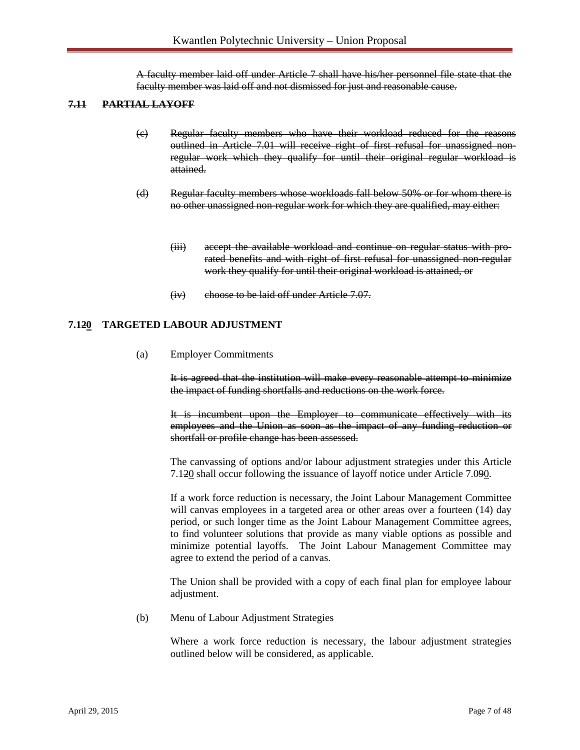A faculty member laid off under Article 7 shall have his/her personnel file state that the faculty member was laid off and not dismissed for just and reasonable cause.

#### **7.11 PARTIAL LAYOFF**

- (c) Regular faculty members who have their workload reduced for the reasons outlined in Article 7.01 will receive right of first refusal for unassigned nonregular work which they qualify for until their original regular workload is attained.
- (d) Regular faculty members whose workloads fall below 50% or for whom there is no other unassigned non-regular work for which they are qualified, may either:
	- (iii) accept the available workload and continue on regular status with prorated benefits and with right of first refusal for unassigned non-regular work they qualify for until their original workload is attained, or
	- (iv) choose to be laid off under Article 7.07.

#### **7.120 TARGETED LABOUR ADJUSTMENT**

(a) Employer Commitments

It is agreed that the institution will make every reasonable attempt to minimize the impact of funding shortfalls and reductions on the work force.

It is incumbent upon the Employer to communicate effectively with its employees and the Union as soon as the impact of any funding reduction or shortfall or profile change has been assessed.

The canvassing of options and/or labour adjustment strategies under this Article 7.120 shall occur following the issuance of layoff notice under Article 7.090.

If a work force reduction is necessary, the Joint Labour Management Committee will canvas employees in a targeted area or other areas over a fourteen  $(14)$  day period, or such longer time as the Joint Labour Management Committee agrees, to find volunteer solutions that provide as many viable options as possible and minimize potential layoffs.The Joint Labour Management Committee may agree to extend the period of a canvas.

The Union shall be provided with a copy of each final plan for employee labour adjustment.

(b) Menu of Labour Adjustment Strategies

Where a work force reduction is necessary, the labour adjustment strategies outlined below will be considered, as applicable.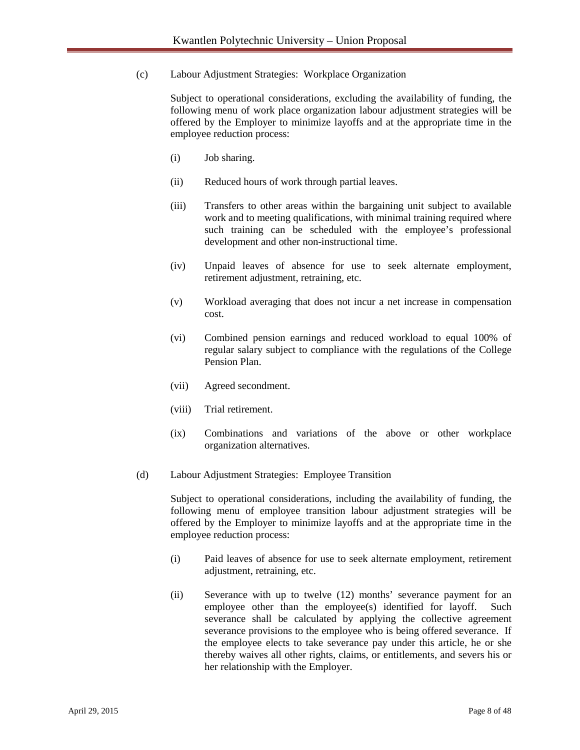(c) Labour Adjustment Strategies: Workplace Organization

Subject to operational considerations, excluding the availability of funding, the following menu of work place organization labour adjustment strategies will be offered by the Employer to minimize layoffs and at the appropriate time in the employee reduction process:

- (i) Job sharing.
- (ii) Reduced hours of work through partial leaves.
- (iii) Transfers to other areas within the bargaining unit subject to available work and to meeting qualifications, with minimal training required where such training can be scheduled with the employee's professional development and other non-instructional time.
- (iv) Unpaid leaves of absence for use to seek alternate employment, retirement adjustment, retraining, etc.
- (v) Workload averaging that does not incur a net increase in compensation cost.
- (vi) Combined pension earnings and reduced workload to equal 100% of regular salary subject to compliance with the regulations of the College Pension Plan.
- (vii) Agreed secondment.
- (viii) Trial retirement.
- (ix) Combinations and variations of the above or other workplace organization alternatives.
- (d) Labour Adjustment Strategies: Employee Transition

Subject to operational considerations, including the availability of funding, the following menu of employee transition labour adjustment strategies will be offered by the Employer to minimize layoffs and at the appropriate time in the employee reduction process:

- (i) Paid leaves of absence for use to seek alternate employment, retirement adjustment, retraining, etc.
- (ii) Severance with up to twelve (12) months' severance payment for an employee other than the employee(s) identified for layoff. Such severance shall be calculated by applying the collective agreement severance provisions to the employee who is being offered severance. If the employee elects to take severance pay under this article, he or she thereby waives all other rights, claims, or entitlements, and severs his or her relationship with the Employer.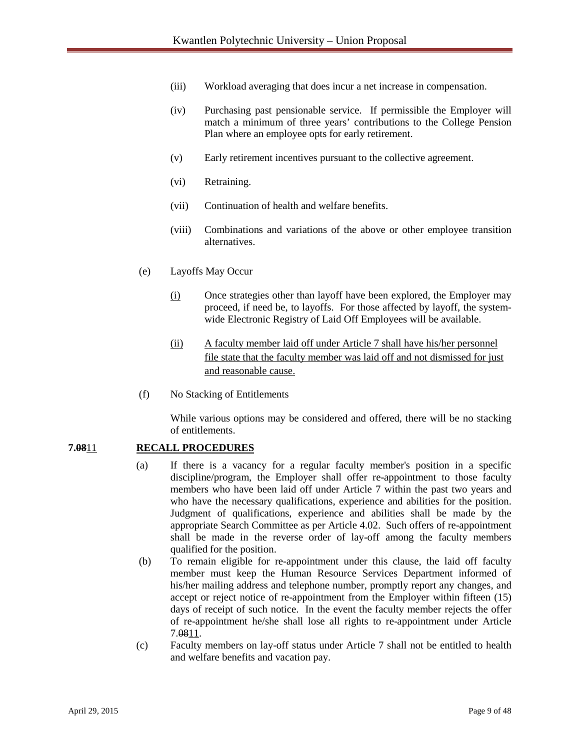- (iii) Workload averaging that does incur a net increase in compensation.
- (iv) Purchasing past pensionable service. If permissible the Employer will match a minimum of three years' contributions to the College Pension Plan where an employee opts for early retirement.
- (v) Early retirement incentives pursuant to the collective agreement.
- (vi) Retraining.
- (vii) Continuation of health and welfare benefits.
- (viii) Combinations and variations of the above or other employee transition alternatives.
- (e) Layoffs May Occur
	- (i) Once strategies other than layoff have been explored, the Employer may proceed, if need be, to layoffs. For those affected by layoff, the systemwide Electronic Registry of Laid Off Employees will be available.
	- (ii) A faculty member laid off under Article 7 shall have his/her personnel file state that the faculty member was laid off and not dismissed for just and reasonable cause.
- (f) No Stacking of Entitlements

While various options may be considered and offered, there will be no stacking of entitlements.

#### **7.08**11 **RECALL PROCEDURES**

- (a) If there is a vacancy for a regular faculty member's position in a specific discipline/program, the Employer shall offer re-appointment to those faculty members who have been laid off under Article 7 within the past two years and who have the necessary qualifications, experience and abilities for the position. Judgment of qualifications, experience and abilities shall be made by the appropriate Search Committee as per Article 4.02. Such offers of re-appointment shall be made in the reverse order of lay-off among the faculty members qualified for the position.
- (b) To remain eligible for re-appointment under this clause, the laid off faculty member must keep the Human Resource Services Department informed of his/her mailing address and telephone number, promptly report any changes, and accept or reject notice of re-appointment from the Employer within fifteen (15) days of receipt of such notice. In the event the faculty member rejects the offer of re-appointment he/she shall lose all rights to re-appointment under Article 7.0811.
- (c) Faculty members on lay-off status under Article 7 shall not be entitled to health and welfare benefits and vacation pay.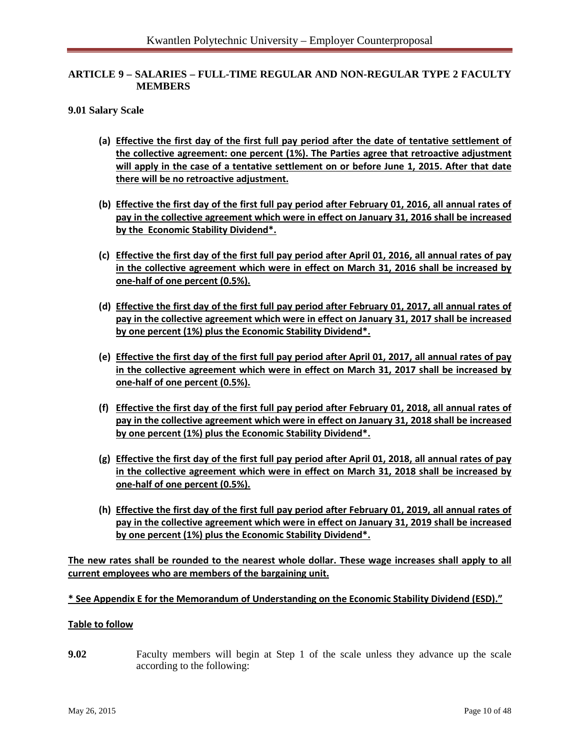## **ARTICLE 9 – SALARIES – FULL-TIME REGULAR AND NON-REGULAR TYPE 2 FACULTY MEMBERS**

#### **9.01 Salary Scale**

- **(a) Effective the first day of the first full pay period after the date of tentative settlement of the collective agreement: one percent (1%). The Parties agree that retroactive adjustment will apply in the case of a tentative settlement on or before June 1, 2015. After that date there will be no retroactive adjustment.**
- **(b) Effective the first day of the first full pay period after February 01, 2016, all annual rates of pay in the collective agreement which were in effect on January 31, 2016 shall be increased by the Economic Stability Dividend\*.**
- **(c) Effective the first day of the first full pay period after April 01, 2016, all annual rates of pay in the collective agreement which were in effect on March 31, 2016 shall be increased by one-half of one percent (0.5%).**
- **(d) Effective the first day of the first full pay period after February 01, 2017, all annual rates of pay in the collective agreement which were in effect on January 31, 2017 shall be increased by one percent (1%) plus the Economic Stability Dividend\*.**
- **(e) Effective the first day of the first full pay period after April 01, 2017, all annual rates of pay in the collective agreement which were in effect on March 31, 2017 shall be increased by one-half of one percent (0.5%).**
- **(f) Effective the first day of the first full pay period after February 01, 2018, all annual rates of pay in the collective agreement which were in effect on January 31, 2018 shall be increased by one percent (1%) plus the Economic Stability Dividend\*.**
- **(g) Effective the first day of the first full pay period after April 01, 2018, all annual rates of pay in the collective agreement which were in effect on March 31, 2018 shall be increased by one-half of one percent (0.5%).**
- **(h) Effective the first day of the first full pay period after February 01, 2019, all annual rates of pay in the collective agreement which were in effect on January 31, 2019 shall be increased by one percent (1%) plus the Economic Stability Dividend\*.**

**The new rates shall be rounded to the nearest whole dollar. These wage increases shall apply to all current employees who are members of the bargaining unit.**

#### **\* See Appendix E for the Memorandum of Understanding on the Economic Stability Dividend (ESD)."**

#### **Table to follow**

**9.02** Faculty members will begin at Step 1 of the scale unless they advance up the scale according to the following: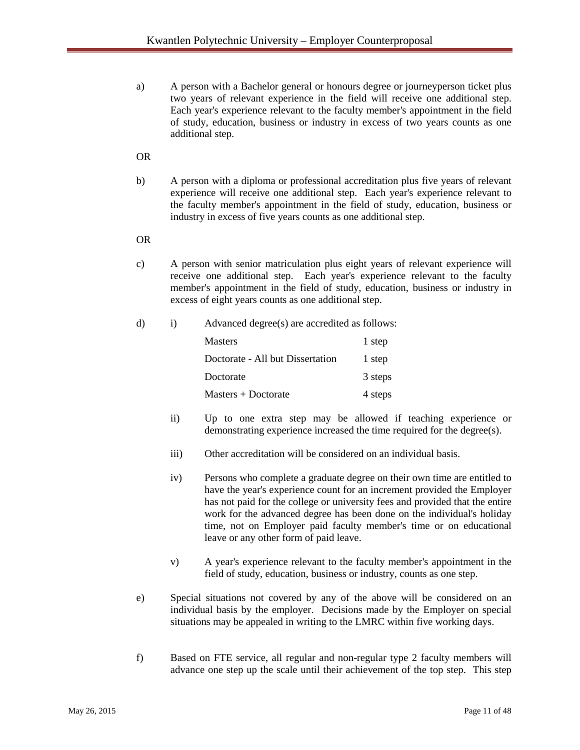a) A person with a Bachelor general or honours degree or journeyperson ticket plus two years of relevant experience in the field will receive one additional step. Each year's experience relevant to the faculty member's appointment in the field of study, education, business or industry in excess of two years counts as one additional step.

# OR

b) A person with a diploma or professional accreditation plus five years of relevant experience will receive one additional step. Each year's experience relevant to the faculty member's appointment in the field of study, education, business or industry in excess of five years counts as one additional step.

#### OR

- c) A person with senior matriculation plus eight years of relevant experience will receive one additional step. Each year's experience relevant to the faculty member's appointment in the field of study, education, business or industry in excess of eight years counts as one additional step.
- d) i) Advanced degree(s) are accredited as follows:

| <b>Masters</b>                   | 1 step  |
|----------------------------------|---------|
| Doctorate - All but Dissertation | 1 step  |
| Doctorate                        | 3 steps |
| $Masters + Doctorate$            | 4 steps |

- ii) Up to one extra step may be allowed if teaching experience or demonstrating experience increased the time required for the degree(s).
- iii) Other accreditation will be considered on an individual basis.
- iv) Persons who complete a graduate degree on their own time are entitled to have the year's experience count for an increment provided the Employer has not paid for the college or university fees and provided that the entire work for the advanced degree has been done on the individual's holiday time, not on Employer paid faculty member's time or on educational leave or any other form of paid leave.
- v) A year's experience relevant to the faculty member's appointment in the field of study, education, business or industry, counts as one step.
- e) Special situations not covered by any of the above will be considered on an individual basis by the employer. Decisions made by the Employer on special situations may be appealed in writing to the LMRC within five working days.
- f) Based on FTE service, all regular and non-regular type 2 faculty members will advance one step up the scale until their achievement of the top step. This step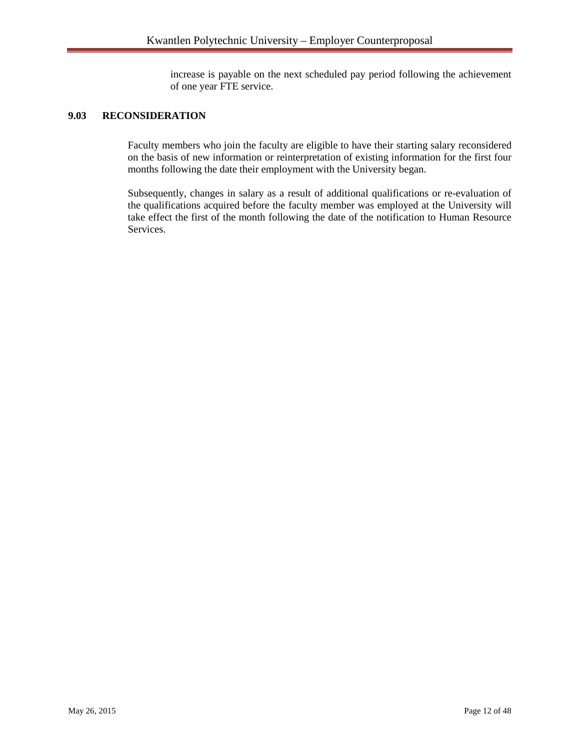increase is payable on the next scheduled pay period following the achievement of one year FTE service.

# **9.03 RECONSIDERATION**

Faculty members who join the faculty are eligible to have their starting salary reconsidered on the basis of new information or reinterpretation of existing information for the first four months following the date their employment with the University began.

Subsequently, changes in salary as a result of additional qualifications or re-evaluation of the qualifications acquired before the faculty member was employed at the University will take effect the first of the month following the date of the notification to Human Resource Services.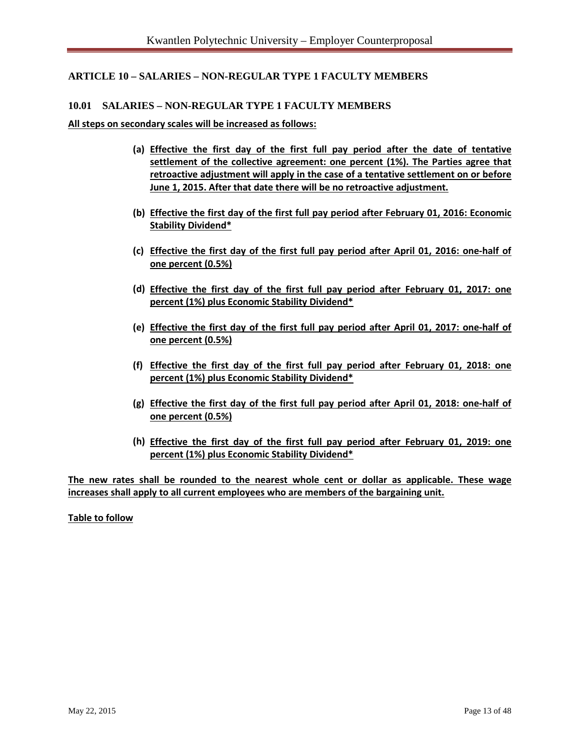# **ARTICLE 10 – SALARIES – NON-REGULAR TYPE 1 FACULTY MEMBERS**

#### **10.01 SALARIES – NON-REGULAR TYPE 1 FACULTY MEMBERS**

**All steps on secondary scales will be increased as follows:**

- **(a) Effective the first day of the first full pay period after the date of tentative settlement of the collective agreement: one percent (1%). The Parties agree that retroactive adjustment will apply in the case of a tentative settlement on or before June 1, 2015. After that date there will be no retroactive adjustment.**
- **(b) Effective the first day of the first full pay period after February 01, 2016: Economic Stability Dividend\***
- **(c) Effective the first day of the first full pay period after April 01, 2016: one-half of one percent (0.5%)**
- **(d) Effective the first day of the first full pay period after February 01, 2017: one percent (1%) plus Economic Stability Dividend\***
- **(e) Effective the first day of the first full pay period after April 01, 2017: one-half of one percent (0.5%)**
- **(f) Effective the first day of the first full pay period after February 01, 2018: one percent (1%) plus Economic Stability Dividend\***
- **(g) Effective the first day of the first full pay period after April 01, 2018: one-half of one percent (0.5%)**
- **(h) Effective the first day of the first full pay period after February 01, 2019: one percent (1%) plus Economic Stability Dividend\***

**The new rates shall be rounded to the nearest whole cent or dollar as applicable. These wage increases shall apply to all current employees who are members of the bargaining unit.**

**Table to follow**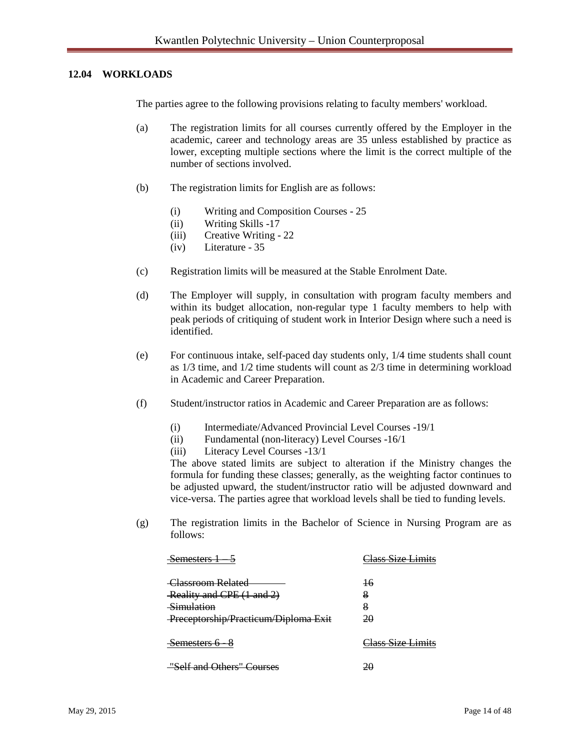#### **12.04 WORKLOADS**

The parties agree to the following provisions relating to faculty members' workload.

- (a) The registration limits for all courses currently offered by the Employer in the academic, career and technology areas are 35 unless established by practice as lower, excepting multiple sections where the limit is the correct multiple of the number of sections involved.
- (b) The registration limits for English are as follows:
	- (i) Writing and Composition Courses 25
	- (ii) Writing Skills -17
	- (iii) Creative Writing 22
	- (iv) Literature 35
- (c) Registration limits will be measured at the Stable Enrolment Date.
- (d) The Employer will supply, in consultation with program faculty members and within its budget allocation, non-regular type 1 faculty members to help with peak periods of critiquing of student work in Interior Design where such a need is identified.
- (e) For continuous intake, self-paced day students only, 1/4 time students shall count as 1/3 time, and 1/2 time students will count as 2/3 time in determining workload in Academic and Career Preparation.
- (f) Student/instructor ratios in Academic and Career Preparation are as follows:
	- (i) Intermediate/Advanced Provincial Level Courses -19/1
	- (ii) Fundamental (non-literacy) Level Courses -16/1
	- (iii) Literacy Level Courses -13/1

The above stated limits are subject to alteration if the Ministry changes the formula for funding these classes; generally, as the weighting factor continues to be adjusted upward, the student/instructor ratio will be adjusted downward and vice-versa. The parties agree that workload levels shall be tied to funding levels.

(g) The registration limits in the Bachelor of Science in Nursing Program are as follows:

| <del>Semesters</del>                                         | <u> 'lace Siza Limite</u> |
|--------------------------------------------------------------|---------------------------|
| Classroom Related<br>Reality and CPE (1 and 2)<br>Simulation | 16<br>8<br>8              |
| Preceptorship/Practicum/Diploma Exit                         | 20                        |
| Semesters 6 –                                                | <u> Iass Size Limits</u>  |
| "Self and Others" Courses                                    |                           |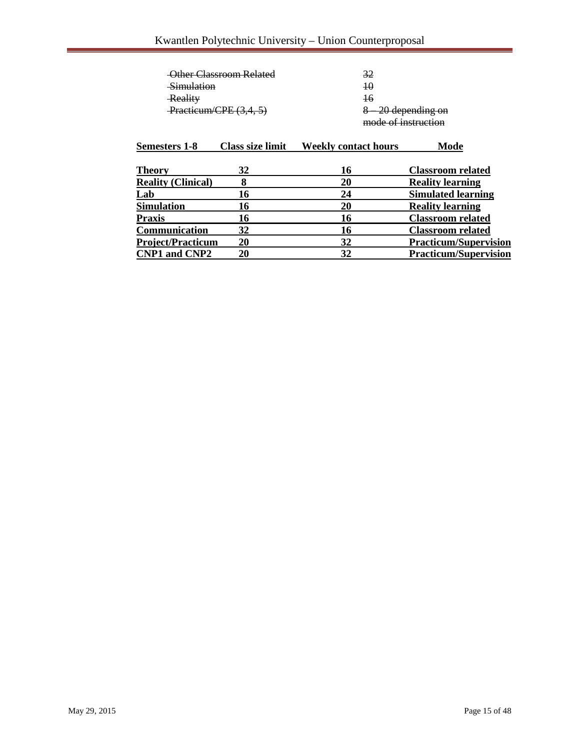|                           | Other Classroom Related | 32                          |                              |
|---------------------------|-------------------------|-----------------------------|------------------------------|
| <del>Simulation</del>     |                         | $\overline{10}$             |                              |
| Reality                   |                         | 16                          |                              |
| Practicum/CPE (3,4, 5)    |                         |                             | <del>-20 depending on</del>  |
|                           |                         | mode of instruction         |                              |
| <b>Semesters 1-8</b>      | <b>Class size limit</b> | <b>Weekly contact hours</b> | Mode                         |
| Theory                    | 32                      | 16                          | <b>Classroom related</b>     |
| <b>Reality (Clinical)</b> | 8                       | 20                          | <b>Reality learning</b>      |
| Lab                       | 16                      | 24                          | <b>Simulated learning</b>    |
| Simulation                | 16                      | 20                          | <b>Reality learning</b>      |
| Praxis                    | 16                      | 16                          | <b>Classroom related</b>     |
| Communication             | 32                      | 16                          | <b>Classroom related</b>     |
| <b>Project/Practicum</b>  | 20                      | 32                          | <b>Practicum/Supervision</b> |
| <b>CNP1 and CNP2</b>      | 20                      | 32                          | <b>Practicum/Supervision</b> |
|                           |                         |                             |                              |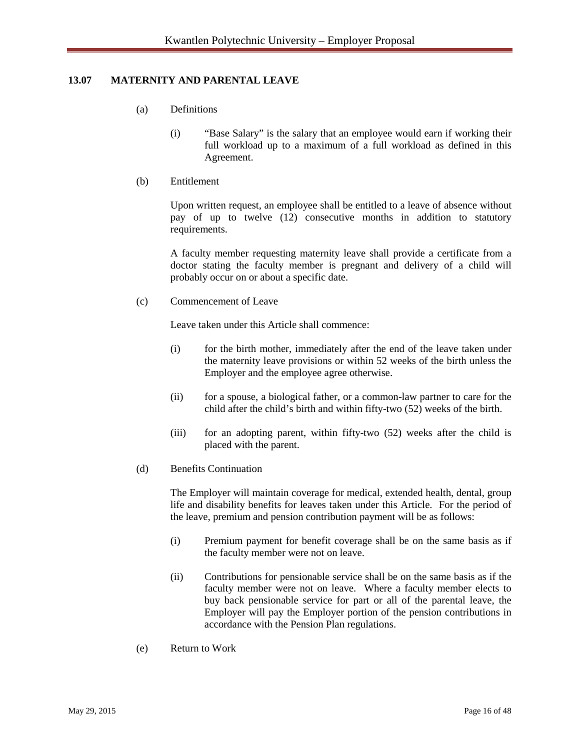# **13.07 MATERNITY AND PARENTAL LEAVE**

- (a) Definitions
	- (i) "Base Salary" is the salary that an employee would earn if working their full workload up to a maximum of a full workload as defined in this Agreement.
- (b) Entitlement

Upon written request, an employee shall be entitled to a leave of absence without pay of up to twelve (12) consecutive months in addition to statutory requirements.

A faculty member requesting maternity leave shall provide a certificate from a doctor stating the faculty member is pregnant and delivery of a child will probably occur on or about a specific date.

(c) Commencement of Leave

Leave taken under this Article shall commence:

- (i) for the birth mother, immediately after the end of the leave taken under the maternity leave provisions or within 52 weeks of the birth unless the Employer and the employee agree otherwise.
- (ii) for a spouse, a biological father, or a common-law partner to care for the child after the child's birth and within fifty-two (52) weeks of the birth.
- (iii) for an adopting parent, within fifty-two (52) weeks after the child is placed with the parent.
- (d) Benefits Continuation

The Employer will maintain coverage for medical, extended health, dental, group life and disability benefits for leaves taken under this Article. For the period of the leave, premium and pension contribution payment will be as follows:

- (i) Premium payment for benefit coverage shall be on the same basis as if the faculty member were not on leave.
- (ii) Contributions for pensionable service shall be on the same basis as if the faculty member were not on leave. Where a faculty member elects to buy back pensionable service for part or all of the parental leave, the Employer will pay the Employer portion of the pension contributions in accordance with the Pension Plan regulations.
- (e) Return to Work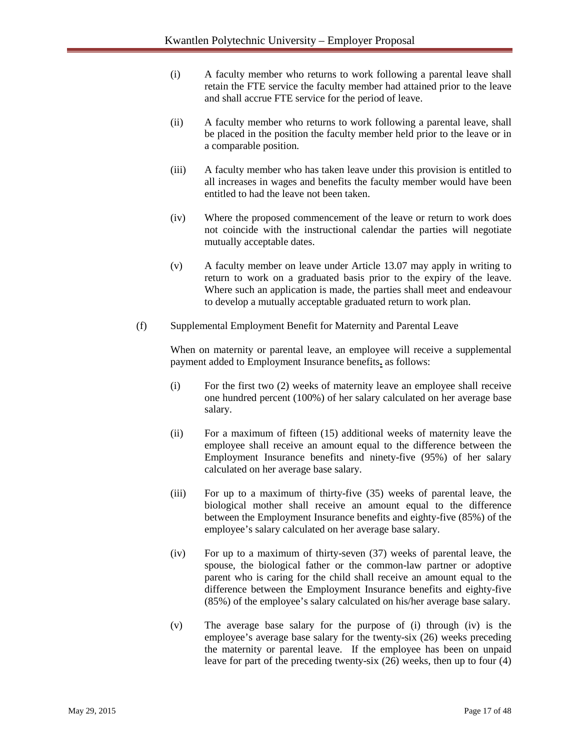- (i) A faculty member who returns to work following a parental leave shall retain the FTE service the faculty member had attained prior to the leave and shall accrue FTE service for the period of leave.
- (ii) A faculty member who returns to work following a parental leave, shall be placed in the position the faculty member held prior to the leave or in a comparable position.
- (iii) A faculty member who has taken leave under this provision is entitled to all increases in wages and benefits the faculty member would have been entitled to had the leave not been taken.
- (iv) Where the proposed commencement of the leave or return to work does not coincide with the instructional calendar the parties will negotiate mutually acceptable dates.
- (v) A faculty member on leave under Article 13.07 may apply in writing to return to work on a graduated basis prior to the expiry of the leave. Where such an application is made, the parties shall meet and endeavour to develop a mutually acceptable graduated return to work plan.
- (f) Supplemental Employment Benefit for Maternity and Parental Leave

When on maternity or parental leave, an employee will receive a supplemental payment added to Employment Insurance benefits**.** as follows:

- (i) For the first two (2) weeks of maternity leave an employee shall receive one hundred percent (100%) of her salary calculated on her average base salary.
- (ii) For a maximum of fifteen (15) additional weeks of maternity leave the employee shall receive an amount equal to the difference between the Employment Insurance benefits and ninety-five (95%) of her salary calculated on her average base salary.
- (iii) For up to a maximum of thirty-five (35) weeks of parental leave, the biological mother shall receive an amount equal to the difference between the Employment Insurance benefits and eighty-five (85%) of the employee's salary calculated on her average base salary.
- (iv) For up to a maximum of thirty-seven (37) weeks of parental leave, the spouse, the biological father or the common-law partner or adoptive parent who is caring for the child shall receive an amount equal to the difference between the Employment Insurance benefits and eighty-five (85%) of the employee's salary calculated on his/her average base salary.
- (v) The average base salary for the purpose of (i) through (iv) is the employee's average base salary for the twenty-six (26) weeks preceding the maternity or parental leave. If the employee has been on unpaid leave for part of the preceding twenty-six (26) weeks, then up to four (4)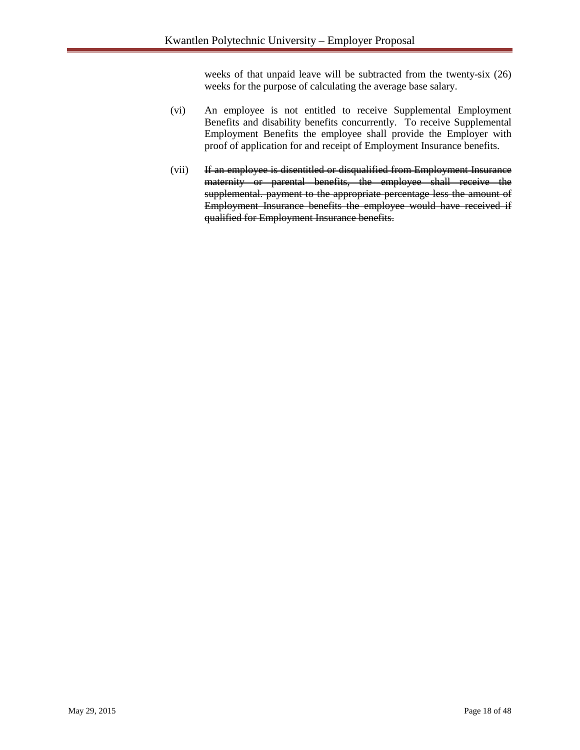weeks of that unpaid leave will be subtracted from the twenty-six (26) weeks for the purpose of calculating the average base salary.

- (vi) An employee is not entitled to receive Supplemental Employment Benefits and disability benefits concurrently. To receive Supplemental Employment Benefits the employee shall provide the Employer with proof of application for and receipt of Employment Insurance benefits.
- (vii) If an employee is disentitled or disqualified from Employment Insurance maternity or parental benefits, the employee shall receive the supplemental. payment to the appropriate percentage less the amount of Employment Insurance benefits the employee would have received if qualified for Employment Insurance benefits.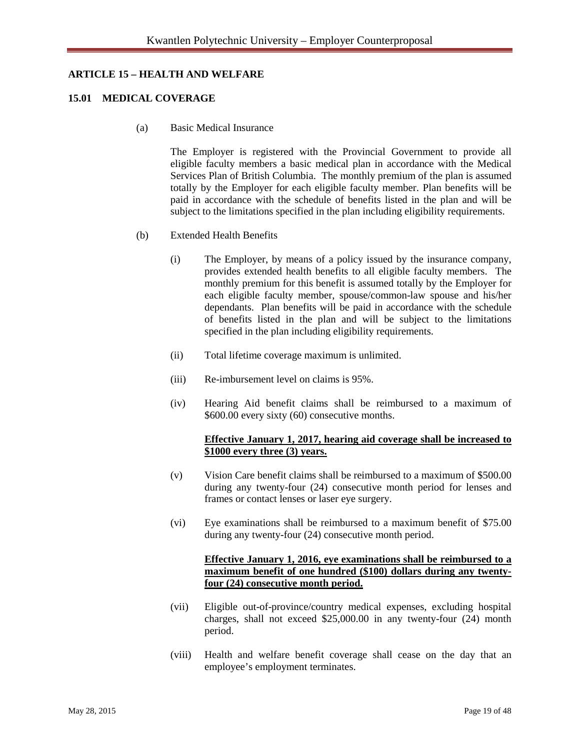#### **ARTICLE 15 – HEALTH AND WELFARE**

#### **15.01 MEDICAL COVERAGE**

(a) Basic Medical Insurance

 The Employer is registered with the Provincial Government to provide all eligible faculty members a basic medical plan in accordance with the Medical Services Plan of British Columbia. The monthly premium of the plan is assumed totally by the Employer for each eligible faculty member. Plan benefits will be paid in accordance with the schedule of benefits listed in the plan and will be subject to the limitations specified in the plan including eligibility requirements.

- (b) Extended Health Benefits
	- (i) The Employer, by means of a policy issued by the insurance company, provides extended health benefits to all eligible faculty members. The monthly premium for this benefit is assumed totally by the Employer for each eligible faculty member, spouse/common-law spouse and his/her dependants. Plan benefits will be paid in accordance with the schedule of benefits listed in the plan and will be subject to the limitations specified in the plan including eligibility requirements.
	- (ii) Total lifetime coverage maximum is unlimited.
	- (iii) Re-imbursement level on claims is 95%.
	- (iv) Hearing Aid benefit claims shall be reimbursed to a maximum of \$600.00 every sixty (60) consecutive months.

#### **Effective January 1, 2017, hearing aid coverage shall be increased to \$1000 every three (3) years.**

- (v) Vision Care benefit claims shall be reimbursed to a maximum of \$500.00 during any twenty-four (24) consecutive month period for lenses and frames or contact lenses or laser eye surgery.
- (vi) Eye examinations shall be reimbursed to a maximum benefit of \$75.00 during any twenty-four (24) consecutive month period.

## **Effective January 1, 2016, eye examinations shall be reimbursed to a maximum benefit of one hundred (\$100) dollars during any twentyfour (24) consecutive month period.**

- (vii) Eligible out-of-province/country medical expenses, excluding hospital charges, shall not exceed \$25,000.00 in any twenty-four (24) month period.
- (viii) Health and welfare benefit coverage shall cease on the day that an employee's employment terminates.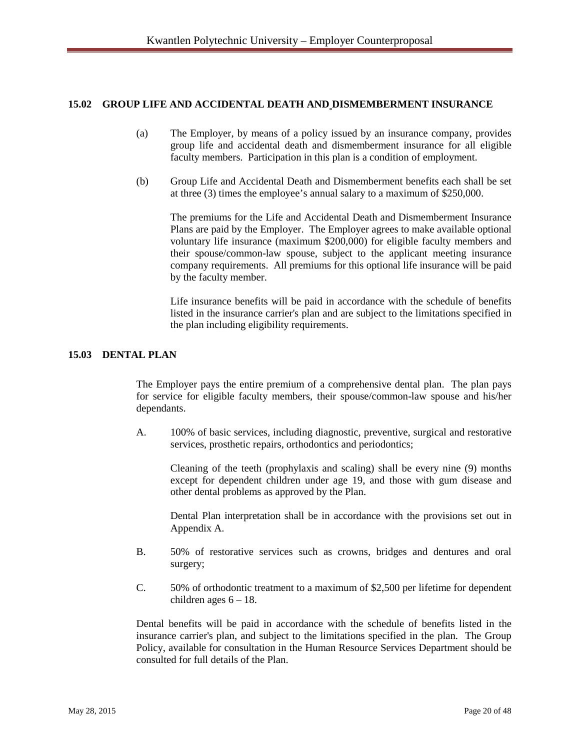#### **15.02 GROUP LIFE AND ACCIDENTAL DEATH AND DISMEMBERMENT INSURANCE**

- (a) The Employer, by means of a policy issued by an insurance company, provides group life and accidental death and dismemberment insurance for all eligible faculty members. Participation in this plan is a condition of employment.
- (b) Group Life and Accidental Death and Dismemberment benefits each shall be set at three (3) times the employee's annual salary to a maximum of \$250,000.

The premiums for the Life and Accidental Death and Dismemberment Insurance Plans are paid by the Employer. The Employer agrees to make available optional voluntary life insurance (maximum \$200,000) for eligible faculty members and their spouse/common-law spouse, subject to the applicant meeting insurance company requirements. All premiums for this optional life insurance will be paid by the faculty member.

Life insurance benefits will be paid in accordance with the schedule of benefits listed in the insurance carrier's plan and are subject to the limitations specified in the plan including eligibility requirements.

#### **15.03 DENTAL PLAN**

The Employer pays the entire premium of a comprehensive dental plan. The plan pays for service for eligible faculty members, their spouse/common-law spouse and his/her dependants.

A. 100% of basic services, including diagnostic, preventive, surgical and restorative services, prosthetic repairs, orthodontics and periodontics;

Cleaning of the teeth (prophylaxis and scaling) shall be every nine (9) months except for dependent children under age 19, and those with gum disease and other dental problems as approved by the Plan.

Dental Plan interpretation shall be in accordance with the provisions set out in Appendix A.

- B. 50% of restorative services such as crowns, bridges and dentures and oral surgery;
- C. 50% of orthodontic treatment to a maximum of \$2,500 per lifetime for dependent children ages  $6 - 18$ .

Dental benefits will be paid in accordance with the schedule of benefits listed in the insurance carrier's plan, and subject to the limitations specified in the plan. The Group Policy, available for consultation in the Human Resource Services Department should be consulted for full details of the Plan.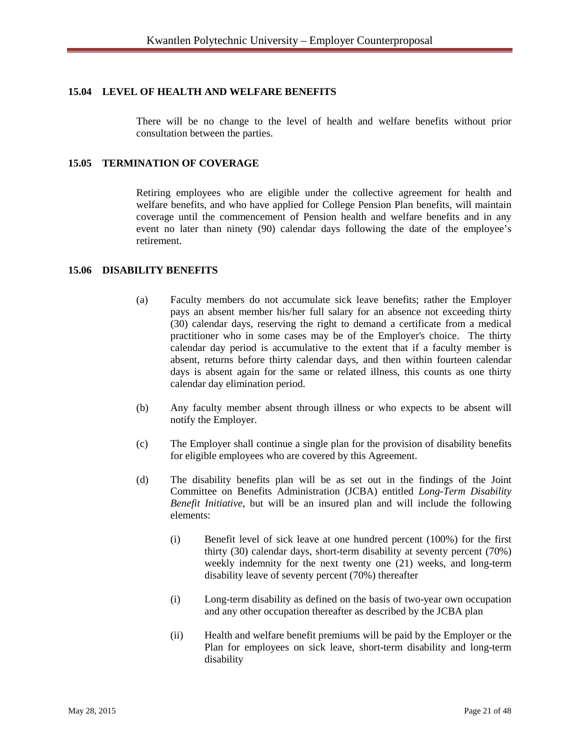## **15.04 LEVEL OF HEALTH AND WELFARE BENEFITS**

There will be no change to the level of health and welfare benefits without prior consultation between the parties.

### **15.05 TERMINATION OF COVERAGE**

Retiring employees who are eligible under the collective agreement for health and welfare benefits, and who have applied for College Pension Plan benefits, will maintain coverage until the commencement of Pension health and welfare benefits and in any event no later than ninety (90) calendar days following the date of the employee's retirement.

#### **15.06 DISABILITY BENEFITS**

- (a) Faculty members do not accumulate sick leave benefits; rather the Employer pays an absent member his/her full salary for an absence not exceeding thirty (30) calendar days, reserving the right to demand a certificate from a medical practitioner who in some cases may be of the Employer's choice. The thirty calendar day period is accumulative to the extent that if a faculty member is absent, returns before thirty calendar days, and then within fourteen calendar days is absent again for the same or related illness, this counts as one thirty calendar day elimination period.
- (b) Any faculty member absent through illness or who expects to be absent will notify the Employer.
- (c) The Employer shall continue a single plan for the provision of disability benefits for eligible employees who are covered by this Agreement.
- (d) The disability benefits plan will be as set out in the findings of the Joint Committee on Benefits Administration (JCBA) entitled *Long-Term Disability Benefit Initiative*, but will be an insured plan and will include the following elements:
	- (i) Benefit level of sick leave at one hundred percent (100%) for the first thirty (30) calendar days, short-term disability at seventy percent (70%) weekly indemnity for the next twenty one (21) weeks, and long-term disability leave of seventy percent (70%) thereafter
	- (i) Long-term disability as defined on the basis of two-year own occupation and any other occupation thereafter as described by the JCBA plan
	- (ii) Health and welfare benefit premiums will be paid by the Employer or the Plan for employees on sick leave, short-term disability and long-term disability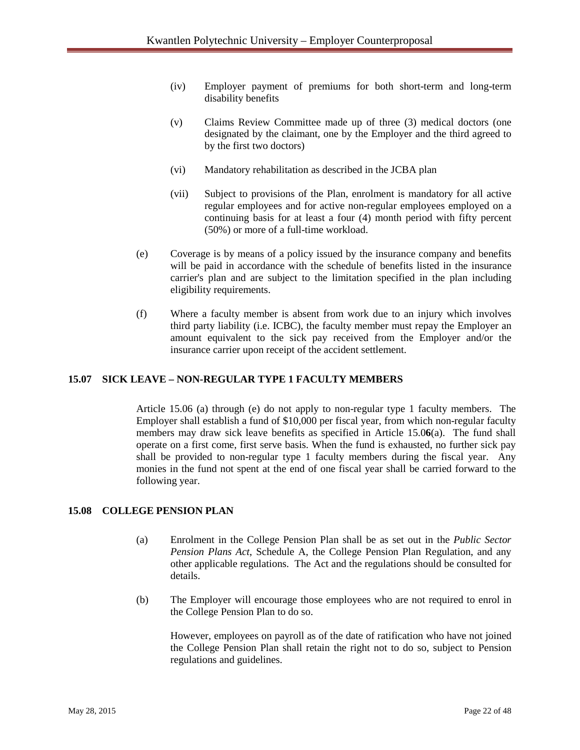- (iv) Employer payment of premiums for both short-term and long-term disability benefits
- (v) Claims Review Committee made up of three (3) medical doctors (one designated by the claimant, one by the Employer and the third agreed to by the first two doctors)
- (vi) Mandatory rehabilitation as described in the JCBA plan
- (vii) Subject to provisions of the Plan, enrolment is mandatory for all active regular employees and for active non-regular employees employed on a continuing basis for at least a four (4) month period with fifty percent (50%) or more of a full-time workload.
- (e) Coverage is by means of a policy issued by the insurance company and benefits will be paid in accordance with the schedule of benefits listed in the insurance carrier's plan and are subject to the limitation specified in the plan including eligibility requirements.
- (f) Where a faculty member is absent from work due to an injury which involves third party liability (i.e. ICBC), the faculty member must repay the Employer an amount equivalent to the sick pay received from the Employer and/or the insurance carrier upon receipt of the accident settlement.

#### **15.07 SICK LEAVE – NON-REGULAR TYPE 1 FACULTY MEMBERS**

Article 15.06 (a) through (e) do not apply to non-regular type 1 faculty members. The Employer shall establish a fund of \$10,000 per fiscal year, from which non-regular faculty members may draw sick leave benefits as specified in Article 15.0**6**(a). The fund shall operate on a first come, first serve basis. When the fund is exhausted, no further sick pay shall be provided to non-regular type 1 faculty members during the fiscal year. Any monies in the fund not spent at the end of one fiscal year shall be carried forward to the following year.

#### **15.08 COLLEGE PENSION PLAN**

- (a) Enrolment in the College Pension Plan shall be as set out in the *Public Sector Pension Plans Act*, Schedule A, the College Pension Plan Regulation, and any other applicable regulations. The Act and the regulations should be consulted for details.
- (b) The Employer will encourage those employees who are not required to enrol in the College Pension Plan to do so.

However, employees on payroll as of the date of ratification who have not joined the College Pension Plan shall retain the right not to do so, subject to Pension regulations and guidelines.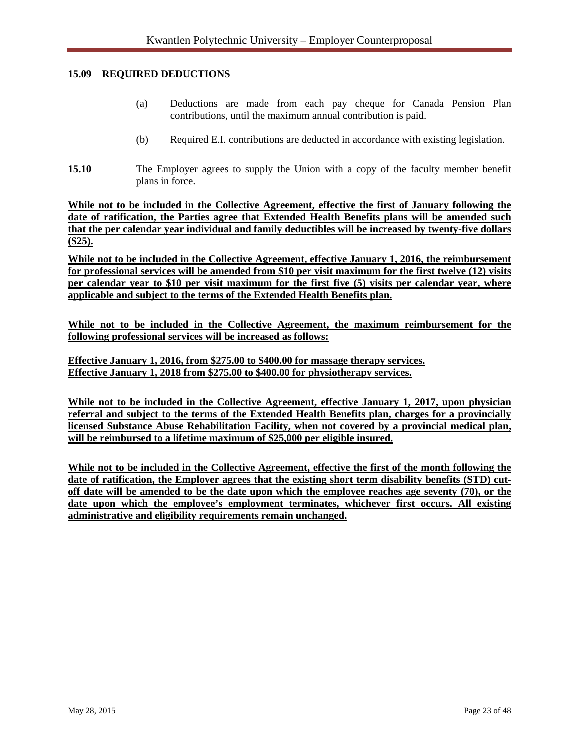#### **15.09 REQUIRED DEDUCTIONS**

- (a) Deductions are made from each pay cheque for Canada Pension Plan contributions, until the maximum annual contribution is paid.
- (b) Required E.I. contributions are deducted in accordance with existing legislation.
- **15.10** The Employer agrees to supply the Union with a copy of the faculty member benefit plans in force.

**While not to be included in the Collective Agreement, effective the first of January following the date of ratification, the Parties agree that Extended Health Benefits plans will be amended such that the per calendar year individual and family deductibles will be increased by twenty-five dollars (\$25).**

**While not to be included in the Collective Agreement, effective January 1, 2016, the reimbursement for professional services will be amended from \$10 per visit maximum for the first twelve (12) visits per calendar year to \$10 per visit maximum for the first five (5) visits per calendar year, where applicable and subject to the terms of the Extended Health Benefits plan.** 

**While not to be included in the Collective Agreement, the maximum reimbursement for the following professional services will be increased as follows:**

**Effective January 1, 2016, from \$275.00 to \$400.00 for massage therapy services. Effective January 1, 2018 from \$275.00 to \$400.00 for physiotherapy services.**

**While not to be included in the Collective Agreement, effective January 1, 2017, upon physician referral and subject to the terms of the Extended Health Benefits plan, charges for a provincially licensed Substance Abuse Rehabilitation Facility, when not covered by a provincial medical plan, will be reimbursed to a lifetime maximum of \$25,000 per eligible insured.**

**While not to be included in the Collective Agreement, effective the first of the month following the date of ratification, the Employer agrees that the existing short term disability benefits (STD) cutoff date will be amended to be the date upon which the employee reaches age seventy (70), or the date upon which the employee's employment terminates, whichever first occurs. All existing administrative and eligibility requirements remain unchanged.**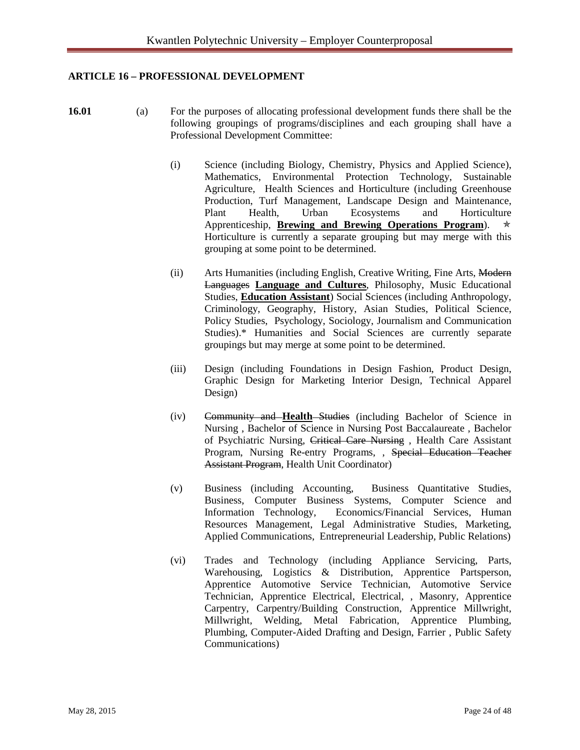# **ARTICLE 16 – PROFESSIONAL DEVELOPMENT**

- 
- **16.01** (a) For the purposes of allocating professional development funds there shall be the following groupings of programs/disciplines and each grouping shall have a Professional Development Committee:
	- (i) Science (including Biology, Chemistry, Physics and Applied Science), Mathematics, Environmental Protection Technology, Sustainable Agriculture, Health Sciences and Horticulture (including Greenhouse Production, Turf Management, Landscape Design and Maintenance, Plant Health, Urban Ecosystems and Horticulture Apprenticeship, **Brewing and Brewing Operations Program**). Horticulture is currently a separate grouping but may merge with this grouping at some point to be determined.
	- (ii) Arts Humanities (including English, Creative Writing, Fine Arts, Modern Languages **Language and Cultures**, Philosophy, Music Educational Studies, **Education Assistant**) Social Sciences (including Anthropology, Criminology, Geography, History, Asian Studies, Political Science, Policy Studies, Psychology, Sociology, Journalism and Communication Studies).\* Humanities and Social Sciences are currently separate groupings but may merge at some point to be determined.
	- (iii) Design (including Foundations in Design Fashion, Product Design, Graphic Design for Marketing Interior Design, Technical Apparel Design)
	- (iv) Community and **Health** Studies (including Bachelor of Science in Nursing , Bachelor of Science in Nursing Post Baccalaureate , Bachelor of Psychiatric Nursing, Critical Care Nursing , Health Care Assistant Program, Nursing Re-entry Programs, , Special Education Teacher Assistant Program, Health Unit Coordinator)
	- (v) Business (including Accounting, Business Quantitative Studies, Business, Computer Business Systems, Computer Science and Information Technology, Economics/Financial Services, Human Resources Management, Legal Administrative Studies, Marketing, Applied Communications, Entrepreneurial Leadership, Public Relations)
	- (vi) Trades and Technology (including Appliance Servicing, Parts, Warehousing, Logistics & Distribution, Apprentice Partsperson, Apprentice Automotive Service Technician, Automotive Service Technician, Apprentice Electrical, Electrical, , Masonry, Apprentice Carpentry, Carpentry/Building Construction, Apprentice Millwright, Millwright, Welding, Metal Fabrication, Apprentice Plumbing, Plumbing, Computer-Aided Drafting and Design, Farrier , Public Safety Communications)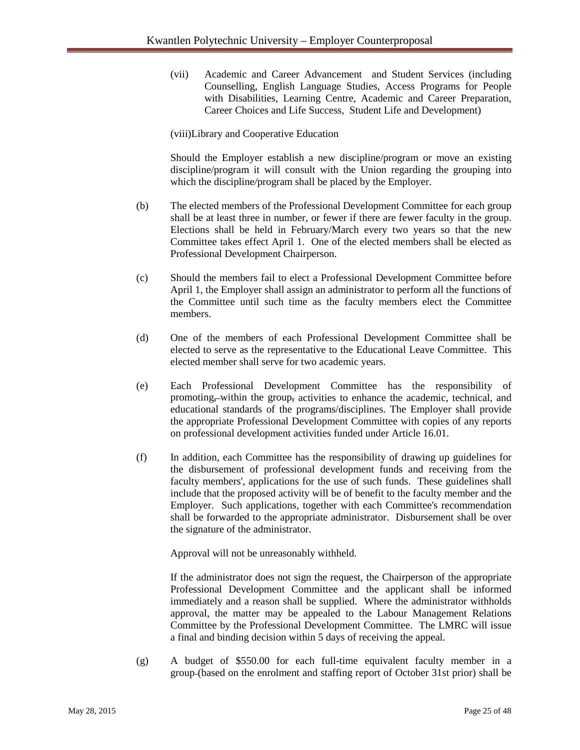(vii) Academic and Career Advancement and Student Services (including Counselling, English Language Studies, Access Programs for People with Disabilities, Learning Centre, Academic and Career Preparation, Career Choices and Life Success, Student Life and Development)

(viii)Library and Cooperative Education

Should the Employer establish a new discipline/program or move an existing discipline/program it will consult with the Union regarding the grouping into which the discipline*/*program shall be placed by the Employer.

- (b) The elected members of the Professional Development Committee for each group shall be at least three in number, or fewer if there are fewer faculty in the group. Elections shall be held in February/March every two years so that the new Committee takes effect April 1. One of the elected members shall be elected as Professional Development Chairperson.
- (c) Should the members fail to elect a Professional Development Committee before April 1, the Employer shall assign an administrator to perform all the functions of the Committee until such time as the faculty members elect the Committee members.
- (d) One of the members of each Professional Development Committee shall be elected to serve as the representative to the Educational Leave Committee. This elected member shall serve for two academic years.
- (e) Each Professional Development Committee has the responsibility of promoting, within the group, activities to enhance the academic, technical, and educational standards of the programs/disciplines. The Employer shall provide the appropriate Professional Development Committee with copies of any reports on professional development activities funded under Article 16.01.
- (f) In addition, each Committee has the responsibility of drawing up guidelines for the disbursement of professional development funds and receiving from the faculty members', applications for the use of such funds. These guidelines shall include that the proposed activity will be of benefit to the faculty member and the Employer. Such applications, together with each Committee's recommendation shall be forwarded to the appropriate administrator. Disbursement shall be over the signature of the administrator.

Approval will not be unreasonably withheld.

If the administrator does not sign the request, the Chairperson of the appropriate Professional Development Committee and the applicant shall be informed immediately and a reason shall be supplied. Where the administrator withholds approval, the matter may be appealed to the Labour Management Relations Committee by the Professional Development Committee. The LMRC will issue a final and binding decision within 5 days of receiving the appeal.

(g) A budget of \$550.00 for each full-time equivalent faculty member in a group (based on the enrolment and staffing report of October 31st prior) shall be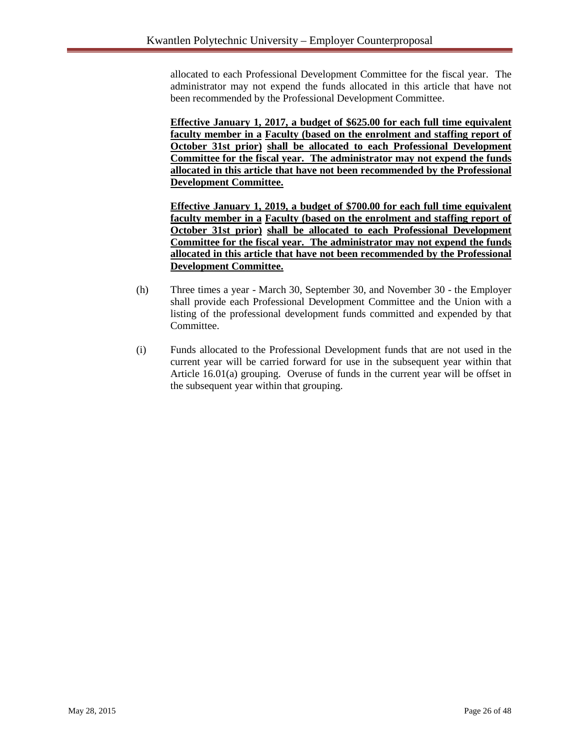allocated to each Professional Development Committee for the fiscal year. The administrator may not expend the funds allocated in this article that have not been recommended by the Professional Development Committee.

**Effective January 1, 2017, a budget of \$625.00 for each full time equivalent faculty member in a Faculty (based on the enrolment and staffing report of October 31st prior) shall be allocated to each Professional Development Committee for the fiscal year. The administrator may not expend the funds allocated in this article that have not been recommended by the Professional Development Committee.**

**Effective January 1, 2019, a budget of \$700.00 for each full time equivalent faculty member in a Faculty (based on the enrolment and staffing report of October 31st prior) shall be allocated to each Professional Development Committee for the fiscal year. The administrator may not expend the funds allocated in this article that have not been recommended by the Professional Development Committee.**

- (h) Three times a year March 30, September 30, and November 30 the Employer shall provide each Professional Development Committee and the Union with a listing of the professional development funds committed and expended by that Committee.
- (i) Funds allocated to the Professional Development funds that are not used in the current year will be carried forward for use in the subsequent year within that Article 16.01(a) grouping. Overuse of funds in the current year will be offset in the subsequent year within that grouping.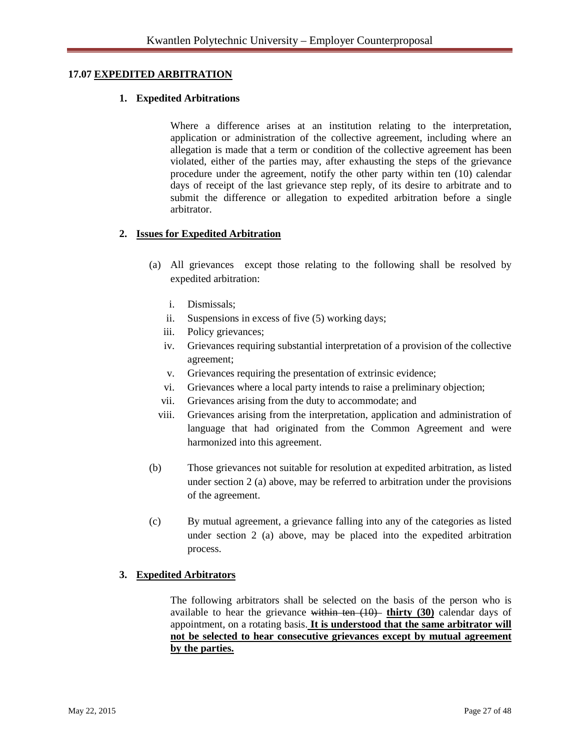#### **17.07 EXPEDITED ARBITRATION**

#### **1. Expedited Arbitrations**

Where a difference arises at an institution relating to the interpretation, application or administration of the collective agreement, including where an allegation is made that a term or condition of the collective agreement has been violated, either of the parties may, after exhausting the steps of the grievance procedure under the agreement, notify the other party within ten (10) calendar days of receipt of the last grievance step reply, of its desire to arbitrate and to submit the difference or allegation to expedited arbitration before a single arbitrator.

#### **2. Issues for Expedited Arbitration**

- (a) All grievances except those relating to the following shall be resolved by expedited arbitration:
	- i. Dismissals;
	- ii. Suspensions in excess of five (5) working days;
	- iii. Policy grievances;
	- iv. Grievances requiring substantial interpretation of a provision of the collective agreement;
	- v. Grievances requiring the presentation of extrinsic evidence;
	- vi. Grievances where a local party intends to raise a preliminary objection;
	- vii. Grievances arising from the duty to accommodate; and
	- viii. Grievances arising from the interpretation, application and administration of language that had originated from the Common Agreement and were harmonized into this agreement.
- (b) Those grievances not suitable for resolution at expedited arbitration, as listed under section 2 (a) above, may be referred to arbitration under the provisions of the agreement.
- (c) By mutual agreement, a grievance falling into any of the categories as listed under section 2 (a) above, may be placed into the expedited arbitration process.

#### **3. Expedited Arbitrators**

The following arbitrators shall be selected on the basis of the person who is available to hear the grievance within ten (10) **thirty (30)** calendar days of appointment, on a rotating basis. **It is understood that the same arbitrator will not be selected to hear consecutive grievances except by mutual agreement by the parties.**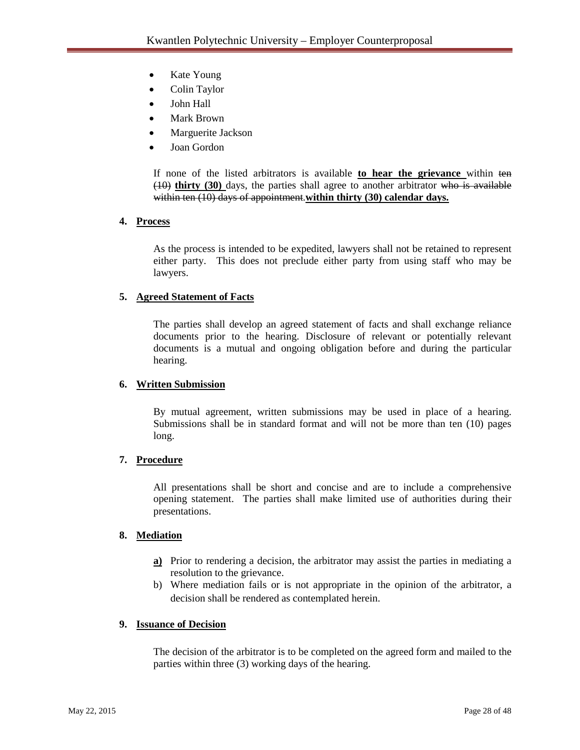- Kate Young
- Colin Taylor
- John Hall
- Mark Brown
- Marguerite Jackson
- Joan Gordon

If none of the listed arbitrators is available **to hear the grievance** within ten (10) **thirty (30)** days, the parties shall agree to another arbitrator who is available within ten (10) days of appointment.**within thirty (30) calendar days.** 

# **4. Process**

As the process is intended to be expedited, lawyers shall not be retained to represent either party. This does not preclude either party from using staff who may be lawyers.

# **5. Agreed Statement of Facts**

The parties shall develop an agreed statement of facts and shall exchange reliance documents prior to the hearing. Disclosure of relevant or potentially relevant documents is a mutual and ongoing obligation before and during the particular hearing.

#### **6. Written Submission**

By mutual agreement, written submissions may be used in place of a hearing. Submissions shall be in standard format and will not be more than ten (10) pages long.

#### **7. Procedure**

All presentations shall be short and concise and are to include a comprehensive opening statement. The parties shall make limited use of authorities during their presentations.

#### **8. Mediation**

- **a)** Prior to rendering a decision, the arbitrator may assist the parties in mediating a resolution to the grievance.
- b) Where mediation fails or is not appropriate in the opinion of the arbitrator, a decision shall be rendered as contemplated herein.

#### **9. Issuance of Decision**

The decision of the arbitrator is to be completed on the agreed form and mailed to the parties within three (3) working days of the hearing.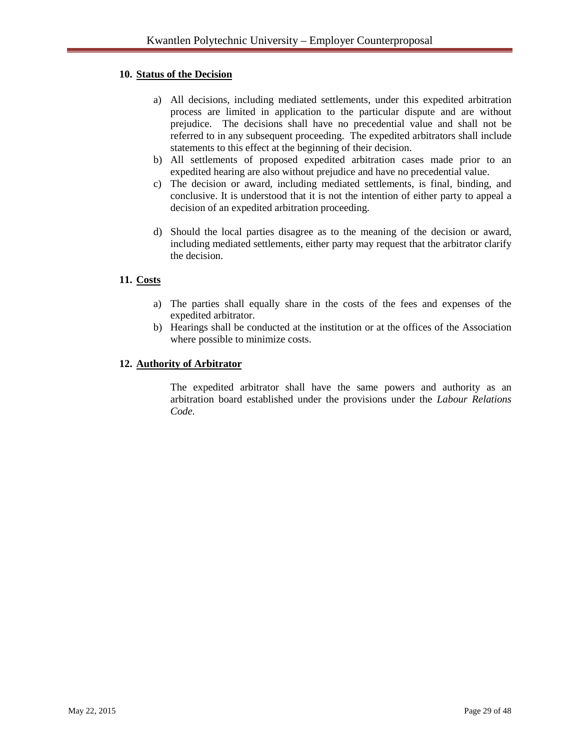## **10. Status of the Decision**

- a) All decisions, including mediated settlements, under this expedited arbitration process are limited in application to the particular dispute and are without prejudice. The decisions shall have no precedential value and shall not be referred to in any subsequent proceeding. The expedited arbitrators shall include statements to this effect at the beginning of their decision.
- b) All settlements of proposed expedited arbitration cases made prior to an expedited hearing are also without prejudice and have no precedential value.
- c) The decision or award, including mediated settlements, is final, binding, and conclusive. It is understood that it is not the intention of either party to appeal a decision of an expedited arbitration proceeding.
- d) Should the local parties disagree as to the meaning of the decision or award, including mediated settlements, either party may request that the arbitrator clarify the decision.

# **11. Costs**

- a) The parties shall equally share in the costs of the fees and expenses of the expedited arbitrator.
- b) Hearings shall be conducted at the institution or at the offices of the Association where possible to minimize costs.

#### **12. Authority of Arbitrator**

The expedited arbitrator shall have the same powers and authority as an arbitration board established under the provisions under the *Labour Relations Code.*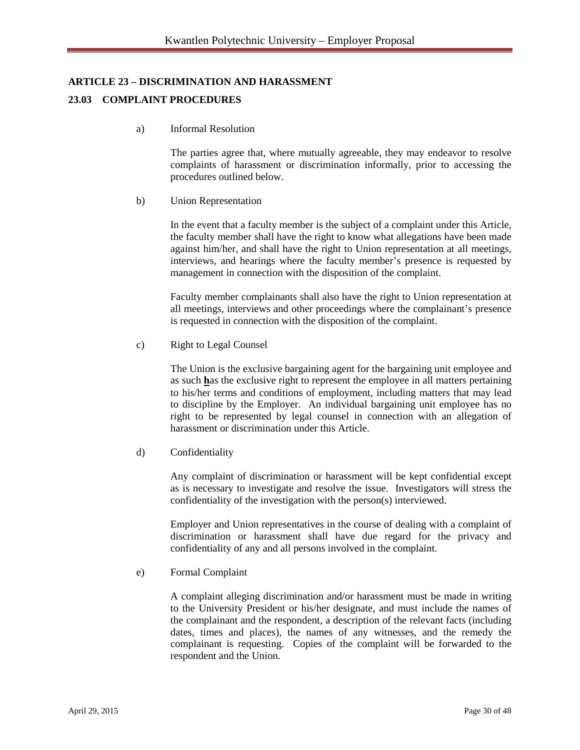# **ARTICLE 23 – DISCRIMINATION AND HARASSMENT**

## **23.03 COMPLAINT PROCEDURES**

a) Informal Resolution

The parties agree that, where mutually agreeable, they may endeavor to resolve complaints of harassment or discrimination informally, prior to accessing the procedures outlined below.

#### b) Union Representation

In the event that a faculty member is the subject of a complaint under this Article, the faculty member shall have the right to know what allegations have been made against him/her, and shall have the right to Union representation at all meetings, interviews, and hearings where the faculty member's presence is requested by management in connection with the disposition of the complaint.

Faculty member complainants shall also have the right to Union representation at all meetings, interviews and other proceedings where the complainant's presence is requested in connection with the disposition of the complaint.

c) Right to Legal Counsel

The Union is the exclusive bargaining agent for the bargaining unit employee and as such **h**as the exclusive right to represent the employee in all matters pertaining to his/her terms and conditions of employment, including matters that may lead to discipline by the Employer. An individual bargaining unit employee has no right to be represented by legal counsel in connection with an allegation of harassment or discrimination under this Article.

d) Confidentiality

Any complaint of discrimination or harassment will be kept confidential except as is necessary to investigate and resolve the issue. Investigators will stress the confidentiality of the investigation with the person(s) interviewed.

Employer and Union representatives in the course of dealing with a complaint of discrimination or harassment shall have due regard for the privacy and confidentiality of any and all persons involved in the complaint.

e) Formal Complaint

A complaint alleging discrimination and/or harassment must be made in writing to the University President or his/her designate, and must include the names of the complainant and the respondent, a description of the relevant facts (including dates, times and places), the names of any witnesses, and the remedy the complainant is requesting. Copies of the complaint will be forwarded to the respondent and the Union.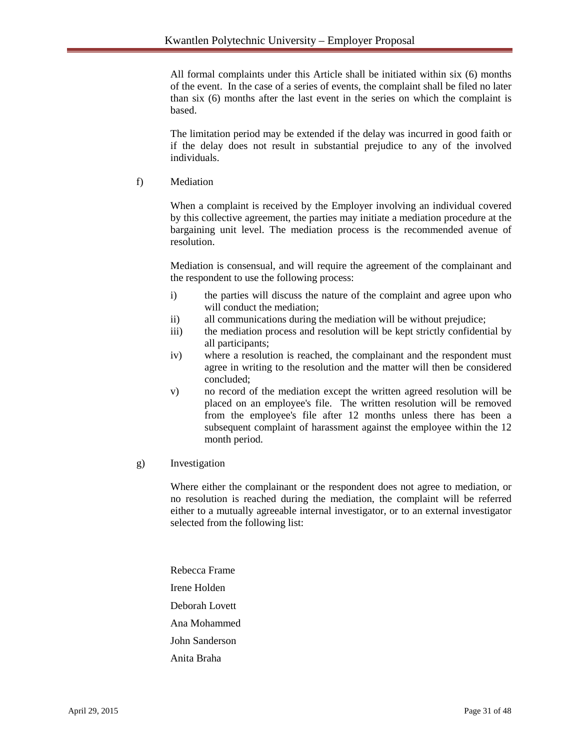All formal complaints under this Article shall be initiated within six (6) months of the event. In the case of a series of events, the complaint shall be filed no later than six (6) months after the last event in the series on which the complaint is based.

The limitation period may be extended if the delay was incurred in good faith or if the delay does not result in substantial prejudice to any of the involved individuals.

f) Mediation

When a complaint is received by the Employer involving an individual covered by this collective agreement, the parties may initiate a mediation procedure at the bargaining unit level. The mediation process is the recommended avenue of resolution.

Mediation is consensual, and will require the agreement of the complainant and the respondent to use the following process:

- i) the parties will discuss the nature of the complaint and agree upon who will conduct the mediation;
- ii) all communications during the mediation will be without prejudice;
- iii) the mediation process and resolution will be kept strictly confidential by all participants;
- iv) where a resolution is reached, the complainant and the respondent must agree in writing to the resolution and the matter will then be considered concluded;
- v) no record of the mediation except the written agreed resolution will be placed on an employee's file. The written resolution will be removed from the employee's file after 12 months unless there has been a subsequent complaint of harassment against the employee within the 12 month period.
- g) Investigation

Where either the complainant or the respondent does not agree to mediation, or no resolution is reached during the mediation, the complaint will be referred either to a mutually agreeable internal investigator, or to an external investigator selected from the following list:

Rebecca Frame Irene Holden Deborah Lovett Ana Mohammed John Sanderson Anita Braha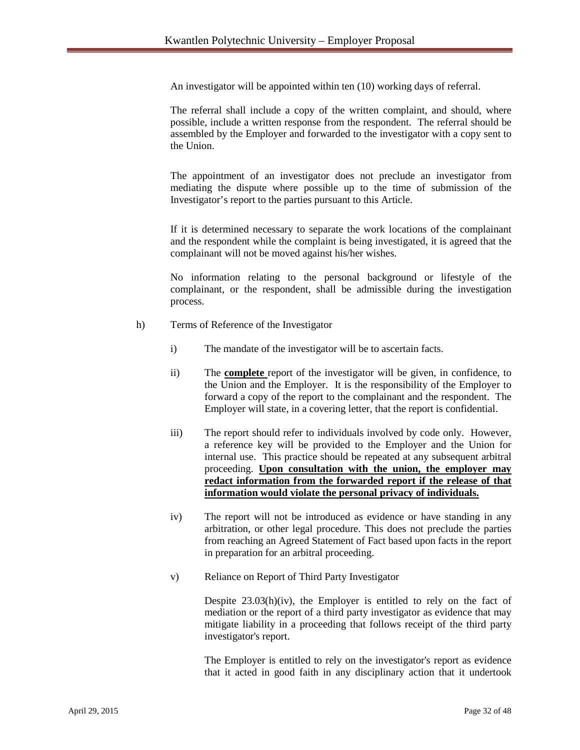An investigator will be appointed within ten (10) working days of referral.

The referral shall include a copy of the written complaint, and should, where possible, include a written response from the respondent. The referral should be assembled by the Employer and forwarded to the investigator with a copy sent to the Union.

The appointment of an investigator does not preclude an investigator from mediating the dispute where possible up to the time of submission of the Investigator's report to the parties pursuant to this Article.

If it is determined necessary to separate the work locations of the complainant and the respondent while the complaint is being investigated, it is agreed that the complainant will not be moved against his/her wishes.

No information relating to the personal background or lifestyle of the complainant, or the respondent, shall be admissible during the investigation process.

- h) Terms of Reference of the Investigator
	- i) The mandate of the investigator will be to ascertain facts.
	- ii) The **complete** report of the investigator will be given, in confidence, to the Union and the Employer. It is the responsibility of the Employer to forward a copy of the report to the complainant and the respondent. The Employer will state, in a covering letter, that the report is confidential.
	- iii) The report should refer to individuals involved by code only. However, a reference key will be provided to the Employer and the Union for internal use. This practice should be repeated at any subsequent arbitral proceeding. **Upon consultation with the union, the employer may redact information from the forwarded report if the release of that information would violate the personal privacy of individuals.**
	- iv) The report will not be introduced as evidence or have standing in any arbitration, or other legal procedure. This does not preclude the parties from reaching an Agreed Statement of Fact based upon facts in the report in preparation for an arbitral proceeding.
	- v) Reliance on Report of Third Party Investigator

Despite 23.03(h)(iv), the Employer is entitled to rely on the fact of mediation or the report of a third party investigator as evidence that may mitigate liability in a proceeding that follows receipt of the third party investigator's report.

The Employer is entitled to rely on the investigator's report as evidence that it acted in good faith in any disciplinary action that it undertook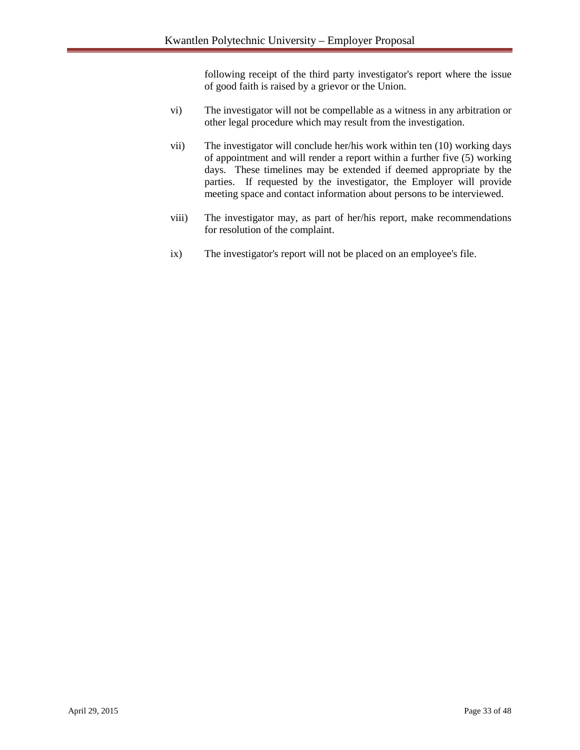following receipt of the third party investigator's report where the issue of good faith is raised by a grievor or the Union.

- vi) The investigator will not be compellable as a witness in any arbitration or other legal procedure which may result from the investigation.
- vii) The investigator will conclude her/his work within ten (10) working days of appointment and will render a report within a further five (5) working days. These timelines may be extended if deemed appropriate by the parties. If requested by the investigator, the Employer will provide meeting space and contact information about persons to be interviewed.
- viii) The investigator may, as part of her/his report, make recommendations for resolution of the complaint.
- ix) The investigator's report will not be placed on an employee's file.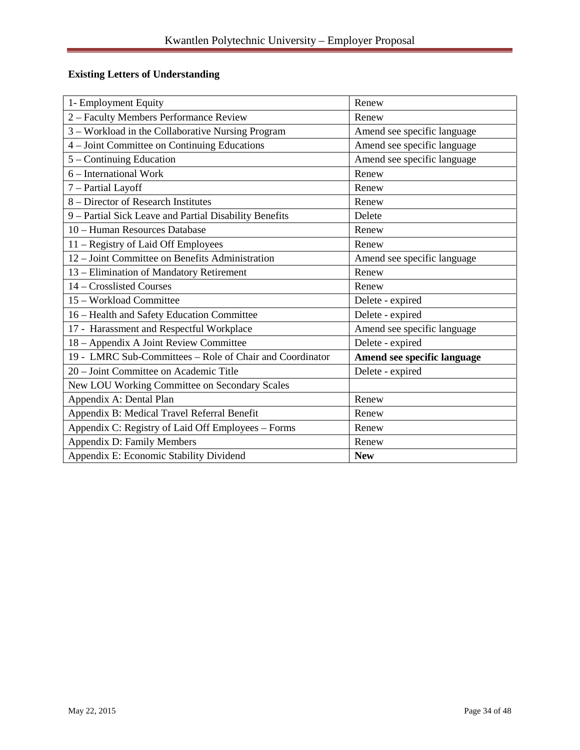# **Existing Letters of Understanding**

| 1- Employment Equity                                     | Renew                       |
|----------------------------------------------------------|-----------------------------|
| 2 - Faculty Members Performance Review                   | Renew                       |
| 3 - Workload in the Collaborative Nursing Program        | Amend see specific language |
| 4 - Joint Committee on Continuing Educations             | Amend see specific language |
| 5 – Continuing Education                                 | Amend see specific language |
| 6 – International Work                                   | Renew                       |
| 7 - Partial Layoff                                       | Renew                       |
| 8 – Director of Research Institutes                      | Renew                       |
| 9 - Partial Sick Leave and Partial Disability Benefits   | Delete                      |
| 10 - Human Resources Database                            | Renew                       |
| 11 - Registry of Laid Off Employees                      | Renew                       |
| 12 - Joint Committee on Benefits Administration          | Amend see specific language |
| 13 - Elimination of Mandatory Retirement                 | Renew                       |
| 14 – Crosslisted Courses                                 | Renew                       |
| 15 - Workload Committee                                  | Delete - expired            |
| 16 - Health and Safety Education Committee               | Delete - expired            |
| 17 - Harassment and Respectful Workplace                 | Amend see specific language |
| 18 - Appendix A Joint Review Committee                   | Delete - expired            |
| 19 - LMRC Sub-Committees - Role of Chair and Coordinator | Amend see specific language |
| 20 – Joint Committee on Academic Title                   | Delete - expired            |
| New LOU Working Committee on Secondary Scales            |                             |
| Appendix A: Dental Plan                                  | Renew                       |
| Appendix B: Medical Travel Referral Benefit              | Renew                       |
| Appendix C: Registry of Laid Off Employees - Forms       | Renew                       |
| Appendix D: Family Members                               | Renew                       |
| Appendix E: Economic Stability Dividend                  | <b>New</b>                  |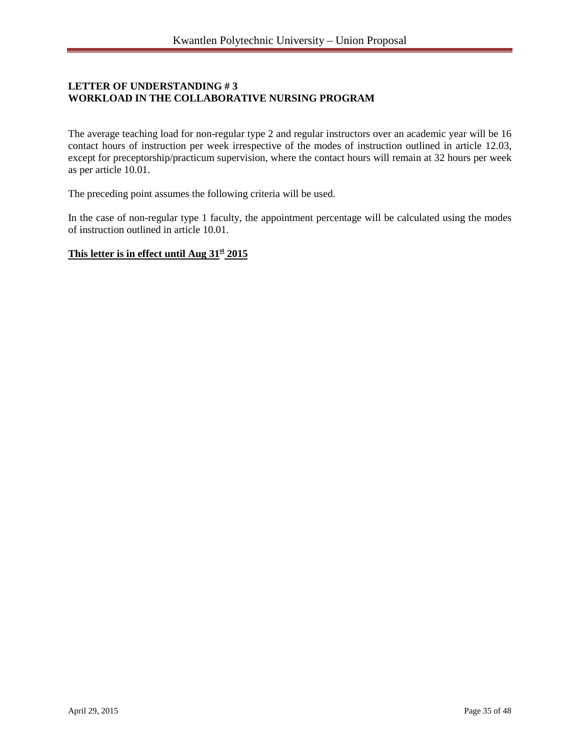# **LETTER OF UNDERSTANDING # 3 WORKLOAD IN THE COLLABORATIVE NURSING PROGRAM**

The average teaching load for non-regular type 2 and regular instructors over an academic year will be 16 contact hours of instruction per week irrespective of the modes of instruction outlined in article 12.03, except for preceptorship/practicum supervision, where the contact hours will remain at 32 hours per week as per article 10.01.

The preceding point assumes the following criteria will be used.

In the case of non-regular type 1 faculty, the appointment percentage will be calculated using the modes of instruction outlined in article 10.01.

#### This letter is in effect until Aug  $31<sup>st</sup> 2015$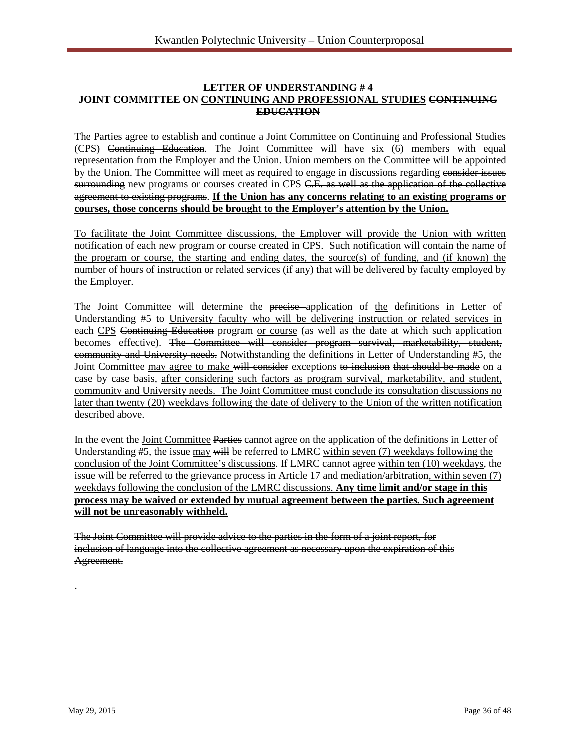#### **LETTER OF UNDERSTANDING # 4 JOINT COMMITTEE ON CONTINUING AND PROFESSIONAL STUDIES CONTINUING EDUCATION**

The Parties agree to establish and continue a Joint Committee on Continuing and Professional Studies (CPS) Continuing Education. The Joint Committee will have six (6) members with equal representation from the Employer and the Union. Union members on the Committee will be appointed by the Union. The Committee will meet as required to engage in discussions regarding consider issues surrounding new programs or courses created in CPS C.E. as well as the application of the collective agreement to existing programs. **If the Union has any concerns relating to an existing programs or courses, those concerns should be brought to the Employer's attention by the Union.**

To facilitate the Joint Committee discussions, the Employer will provide the Union with written notification of each new program or course created in CPS. Such notification will contain the name of the program or course, the starting and ending dates, the source(s) of funding, and (if known) the number of hours of instruction or related services (if any) that will be delivered by faculty employed by the Employer.

The Joint Committee will determine the precise application of the definitions in Letter of Understanding #5 to University faculty who will be delivering instruction or related services in each CPS Continuing Education program or course (as well as the date at which such application becomes effective). The Committee will consider program survival, marketability, student, community and University needs. Notwithstanding the definitions in Letter of Understanding #5, the Joint Committee may agree to make will consider exceptions to inclusion that should be made on a case by case basis, after considering such factors as program survival, marketability, and student, community and University needs. The Joint Committee must conclude its consultation discussions no later than twenty (20) weekdays following the date of delivery to the Union of the written notification described above.

In the event the Joint Committee Parties cannot agree on the application of the definitions in Letter of Understanding #5, the issue may will be referred to LMRC within seven (7) weekdays following the conclusion of the Joint Committee's discussions. If LMRC cannot agree within ten (10) weekdays, the issue will be referred to the grievance process in Article 17 and mediation/arbitration, within seven (7) weekdays following the conclusion of the LMRC discussions. **Any time limit and/or stage in this process may be waived or extended by mutual agreement between the parties. Such agreement will not be unreasonably withheld.** 

The Joint Committee will provide advice to the parties in the form of a joint report, for inclusion of language into the collective agreement as necessary upon the expiration of this Agreement.

.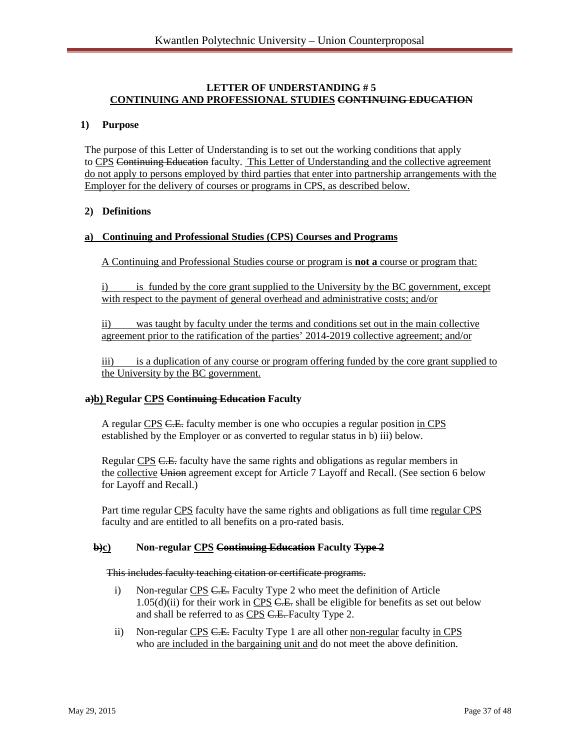#### **LETTER OF UNDERSTANDING # 5 CONTINUING AND PROFESSIONAL STUDIES CONTINUING EDUCATION**

#### **1) Purpose**

The purpose of this Letter of Understanding is to set out the working conditions that apply to CPS Continuing Education faculty. This Letter of Understanding and the collective agreement do not apply to persons employed by third parties that enter into partnership arrangements with the Employer for the delivery of courses or programs in CPS, as described below.

#### **2) Definitions**

#### **a) Continuing and Professional Studies (CPS) Courses and Programs**

A Continuing and Professional Studies course or program is **not a** course or program that:

i) is funded by the core grant supplied to the University by the BC government, except with respect to the payment of general overhead and administrative costs; and/or

ii) was taught by faculty under the terms and conditions set out in the main collective agreement prior to the ratification of the parties' 2014-2019 collective agreement; and/or

iii) is a duplication of any course or program offering funded by the core grant supplied to the University by the BC government.

#### **a)b) Regular CPS Continuing Education Faculty**

A regular CPS C.E. faculty member is one who occupies a regular position in CPS established by the Employer or as converted to regular status in b) iii) below.

Regular CPS C.E. faculty have the same rights and obligations as regular members in the collective Union agreement except for Article 7 Layoff and Recall. (See section 6 below for Layoff and Recall.)

Part time regular CPS faculty have the same rights and obligations as full time regular CPS faculty and are entitled to all benefits on a pro-rated basis.

#### **b)c) Non-regular CPS Continuing Education Faculty Type 2**

#### This includes faculty teaching citation or certificate programs.

- i) Non-regular CPS C.E. Faculty Type 2 who meet the definition of Article  $1.05(d)(ii)$  for their work in CPS <del>C.E.</del> shall be eligible for benefits as set out below and shall be referred to as CPS C.E. Faculty Type 2.
- ii) Non-regular CPS C.E. Faculty Type 1 are all other non-regular faculty in CPS who are included in the bargaining unit and do not meet the above definition.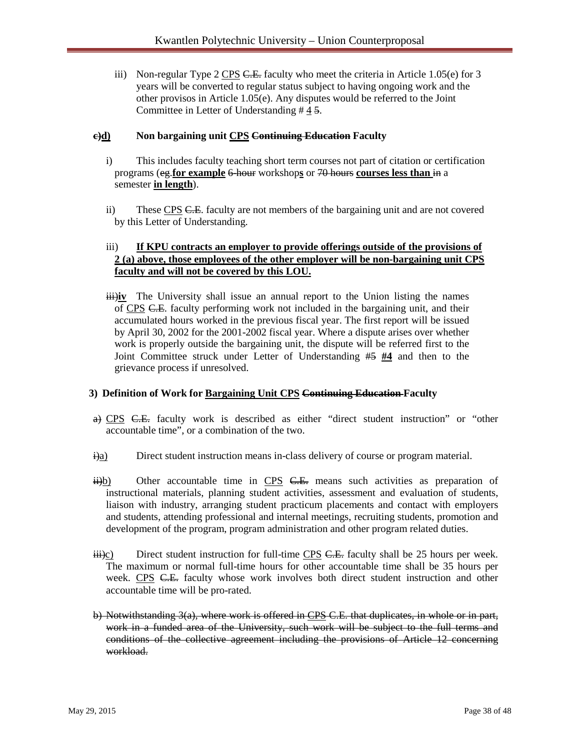iii) Non-regular Type 2 CPS  $C.E.$  faculty who meet the criteria in Article 1.05(e) for 3 years will be converted to regular status subject to having ongoing work and the other provisos in Article 1.05(e). Any disputes would be referred to the Joint Committee in Letter of Understanding # 4 5.

## **c)d) Non bargaining unit CPS Continuing Education Faculty**

- i) This includes faculty teaching short term courses not part of citation or certification programs (eg.**for example** 6-hour workshop**s** or 70 hours **courses less than** in a semester **in length**).
- ii) These CPS C.E. faculty are not members of the bargaining unit and are not covered by this Letter of Understanding.

# iii) **If KPU contracts an employer to provide offerings outside of the provisions of 2 (a) above, those employees of the other employer will be non-bargaining unit CPS faculty and will not be covered by this LOU.**

iii)**iv** The University shall issue an annual report to the Union listing the names of CPS C.E. faculty performing work not included in the bargaining unit, and their accumulated hours worked in the previous fiscal year. The first report will be issued by April 30, 2002 for the 2001-2002 fiscal year. Where a dispute arises over whether work is properly outside the bargaining unit, the dispute will be referred first to the Joint Committee struck under Letter of Understanding #5 **#4** and then to the grievance process if unresolved.

#### **3) Definition of Work for Bargaining Unit CPS Continuing Education Faculty**

- a) CPS C.E. faculty work is described as either "direct student instruction" or "other accountable time", or a combination of the two.
- $\frac{d^2\mathbf{a}}{dt^2}$  Direct student instruction means in-class delivery of course or program material.
- $\frac{1}{11}$ b) Other accountable time in CPS C.E. means such activities as preparation of instructional materials, planning student activities, assessment and evaluation of students, liaison with industry, arranging student practicum placements and contact with employers and students, attending professional and internal meetings, recruiting students, promotion and development of the program, program administration and other program related duties.
- $\ddot{\text{H}}$ iii)c) Direct student instruction for full-time CPS <del>C.E.</del> faculty shall be 25 hours per week. The maximum or normal full-time hours for other accountable time shall be 35 hours per week. CPS C.E. faculty whose work involves both direct student instruction and other accountable time will be pro-rated.
- b) Notwithstanding 3(a), where work is offered in CPS C.E. that duplicates, in whole or in part, work in a funded area of the University, such work will be subject to the full terms and conditions of the collective agreement including the provisions of Article 12 concerning workload.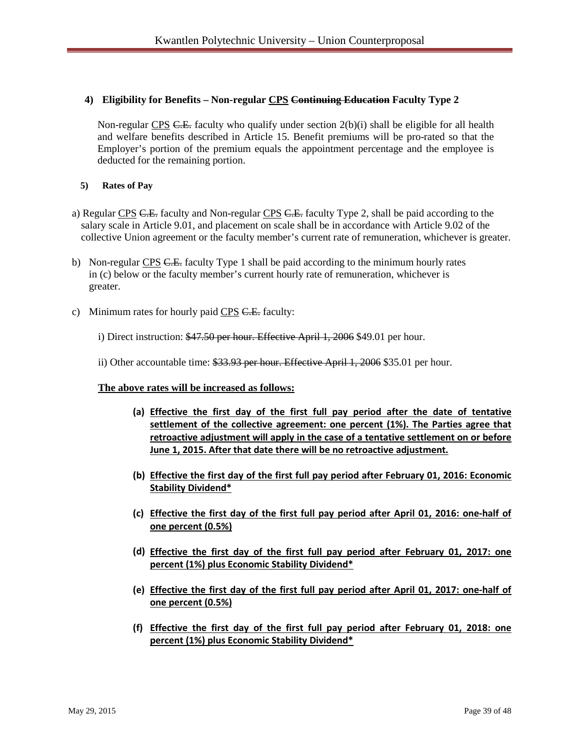## **4) Eligibility for Benefits – Non-regular CPS Continuing Education Faculty Type 2**

Non-regular CPS  $C.E.$  faculty who qualify under section  $2(b)(i)$  shall be eligible for all health and welfare benefits described in Article 15. Benefit premiums will be pro-rated so that the Employer's portion of the premium equals the appointment percentage and the employee is deducted for the remaining portion.

### **5) Rates of Pay**

- a) Regular CPS C.E. faculty and Non-regular CPS C.E. faculty Type 2, shall be paid according to the salary scale in Article 9.01, and placement on scale shall be in accordance with Article 9.02 of the collective Union agreement or the faculty member's current rate of remuneration, whichever is greater.
- b) Non-regular CPS C.E. faculty Type 1 shall be paid according to the minimum hourly rates in (c) below or the faculty member's current hourly rate of remuneration, whichever is greater.
- c) Minimum rates for hourly paid CPS C.E. faculty:
	- i) Direct instruction: \$47.50 per hour. Effective April 1, 2006 \$49.01 per hour.
	- ii) Other accountable time: \$33.93 per hour. Effective April 1, 2006 \$35.01 per hour.

#### **The above rates will be increased as follows:**

- **(a) Effective the first day of the first full pay period after the date of tentative settlement of the collective agreement: one percent (1%). The Parties agree that retroactive adjustment will apply in the case of a tentative settlement on or before June 1, 2015. After that date there will be no retroactive adjustment.**
- **(b) Effective the first day of the first full pay period after February 01, 2016: Economic Stability Dividend\***
- **(c) Effective the first day of the first full pay period after April 01, 2016: one-half of one percent (0.5%)**
- **(d) Effective the first day of the first full pay period after February 01, 2017: one percent (1%) plus Economic Stability Dividend\***
- **(e) Effective the first day of the first full pay period after April 01, 2017: one-half of one percent (0.5%)**
- **(f) Effective the first day of the first full pay period after February 01, 2018: one percent (1%) plus Economic Stability Dividend\***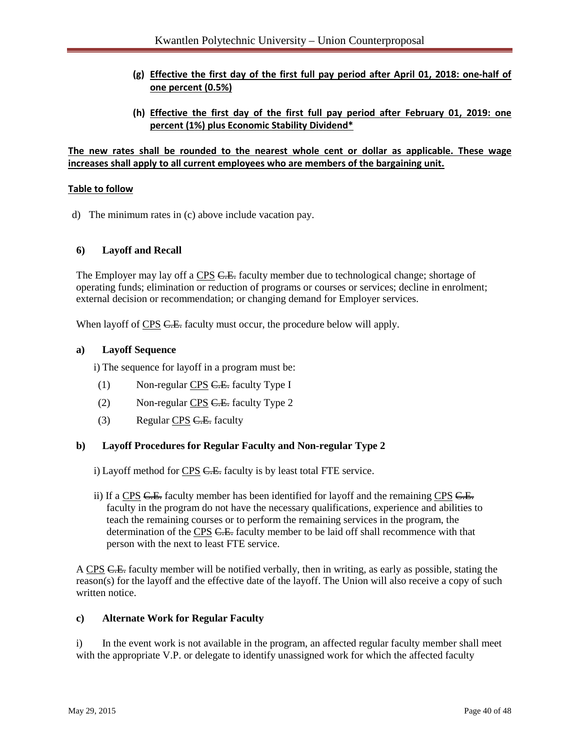- **(g) Effective the first day of the first full pay period after April 01, 2018: one-half of one percent (0.5%)**
- **(h) Effective the first day of the first full pay period after February 01, 2019: one percent (1%) plus Economic Stability Dividend\***

**The new rates shall be rounded to the nearest whole cent or dollar as applicable. These wage increases shall apply to all current employees who are members of the bargaining unit.**

#### **Table to follow**

d) The minimum rates in (c) above include vacation pay.

#### **6) Layoff and Recall**

The Employer may lay off a CPS C.E. faculty member due to technological change; shortage of operating funds; elimination or reduction of programs or courses or services; decline in enrolment; external decision or recommendation; or changing demand for Employer services.

When layoff of CPS C.E. faculty must occur, the procedure below will apply.

#### **a) Layoff Sequence**

i) The sequence for layoff in a program must be:

- (1) Non-regular CPS C.E. faculty Type I
- (2) Non-regular CPS C.E. faculty Type 2
- (3) Regular CPS C.E. faculty

#### **b) Layoff Procedures for Regular Faculty and Non-regular Type 2**

i) Layoff method for CPS C.E. faculty is by least total FTE service.

ii) If a CPS C.E. faculty member has been identified for layoff and the remaining CPS C.E. faculty in the program do not have the necessary qualifications, experience and abilities to teach the remaining courses or to perform the remaining services in the program, the determination of the CPS C.E. faculty member to be laid off shall recommence with that person with the next to least FTE service.

A CPS C.E. faculty member will be notified verbally, then in writing, as early as possible, stating the reason(s) for the layoff and the effective date of the layoff. The Union will also receive a copy of such written notice.

#### **c) Alternate Work for Regular Faculty**

i) In the event work is not available in the program, an affected regular faculty member shall meet with the appropriate V.P. or delegate to identify unassigned work for which the affected faculty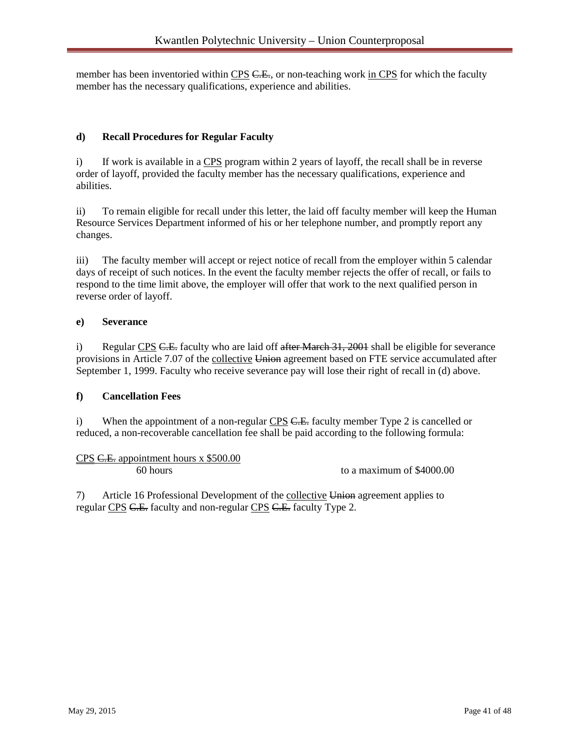member has been inventoried within CPS C.E., or non-teaching work in CPS for which the faculty member has the necessary qualifications, experience and abilities.

# **d) Recall Procedures for Regular Faculty**

i) If work is available in a CPS program within 2 years of layoff, the recall shall be in reverse order of layoff, provided the faculty member has the necessary qualifications, experience and abilities.

ii) To remain eligible for recall under this letter, the laid off faculty member will keep the Human Resource Services Department informed of his or her telephone number, and promptly report any changes.

iii) The faculty member will accept or reject notice of recall from the employer within 5 calendar days of receipt of such notices. In the event the faculty member rejects the offer of recall, or fails to respond to the time limit above, the employer will offer that work to the next qualified person in reverse order of layoff.

#### **e) Severance**

i) Regular CPS C.E. faculty who are laid off after March 31, 2001 shall be eligible for severance provisions in Article 7.07 of the collective Union agreement based on FTE service accumulated after September 1, 1999. Faculty who receive severance pay will lose their right of recall in (d) above.

# **f) Cancellation Fees**

i) When the appointment of a non-regular  $CPS$  C.E. faculty member Type 2 is cancelled or reduced, a non-recoverable cancellation fee shall be paid according to the following formula:

| $CPS$ C.E. appointment hours x \$500.00 |                           |
|-----------------------------------------|---------------------------|
| $60$ hours                              | to a maximum of \$4000.00 |

7) Article 16 Professional Development of the collective Union agreement applies to regular CPS C.E. faculty and non-regular CPS C.E. faculty Type 2.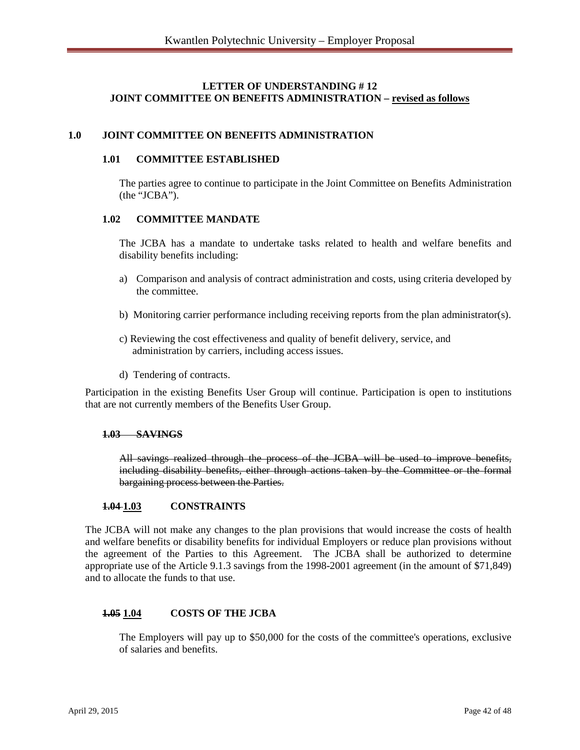## **LETTER OF UNDERSTANDING # 12 JOINT COMMITTEE ON BENEFITS ADMINISTRATION – revised as follows**

#### **1.0 JOINT COMMITTEE ON BENEFITS ADMINISTRATION**

#### **1.01 COMMITTEE ESTABLISHED**

The parties agree to continue to participate in the Joint Committee on Benefits Administration (the "JCBA").

#### **1.02 COMMITTEE MANDATE**

The JCBA has a mandate to undertake tasks related to health and welfare benefits and disability benefits including:

- a) Comparison and analysis of contract administration and costs, using criteria developed by the committee.
- b) Monitoring carrier performance including receiving reports from the plan administrator(s).
- c) Reviewing the cost effectiveness and quality of benefit delivery, service, and administration by carriers, including access issues.
- d) Tendering of contracts.

Participation in the existing Benefits User Group will continue. Participation is open to institutions that are not currently members of the Benefits User Group.

#### **1.03 SAVINGS**

All savings realized through the process of the JCBA will be used to improve benefits, including disability benefits, either through actions taken by the Committee or the formal bargaining process between the Parties.

#### **1.04 1.03 CONSTRAINTS**

The JCBA will not make any changes to the plan provisions that would increase the costs of health and welfare benefits or disability benefits for individual Employers or reduce plan provisions without the agreement of the Parties to this Agreement. The JCBA shall be authorized to determine appropriate use of the Article 9.1.3 savings from the 1998-2001 agreement (in the amount of \$71,849) and to allocate the funds to that use.

#### **1.05 1.04 COSTS OF THE JCBA**

The Employers will pay up to \$50,000 for the costs of the committee's operations, exclusive of salaries and benefits.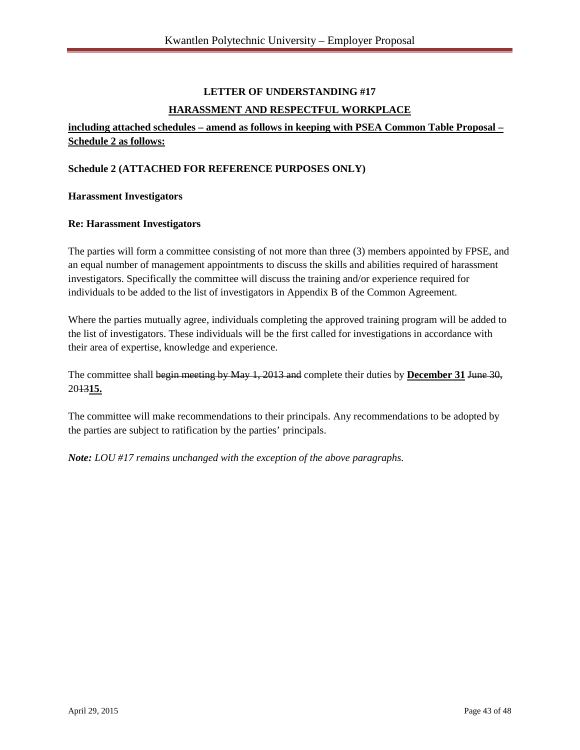# **LETTER OF UNDERSTANDING #17 HARASSMENT AND RESPECTFUL WORKPLACE**

# **including attached schedules – amend as follows in keeping with PSEA Common Table Proposal – Schedule 2 as follows:**

# **Schedule 2 (ATTACHED FOR REFERENCE PURPOSES ONLY)**

#### **Harassment Investigators**

#### **Re: Harassment Investigators**

The parties will form a committee consisting of not more than three (3) members appointed by FPSE, and an equal number of management appointments to discuss the skills and abilities required of harassment investigators. Specifically the committee will discuss the training and/or experience required for individuals to be added to the list of investigators in Appendix B of the Common Agreement.

Where the parties mutually agree, individuals completing the approved training program will be added to the list of investigators. These individuals will be the first called for investigations in accordance with their area of expertise, knowledge and experience.

The committee shall begin meeting by May 1, 2013 and complete their duties by **December 31** June 30, 2013**15.**

The committee will make recommendations to their principals. Any recommendations to be adopted by the parties are subject to ratification by the parties' principals.

*Note: LOU #17 remains unchanged with the exception of the above paragraphs.*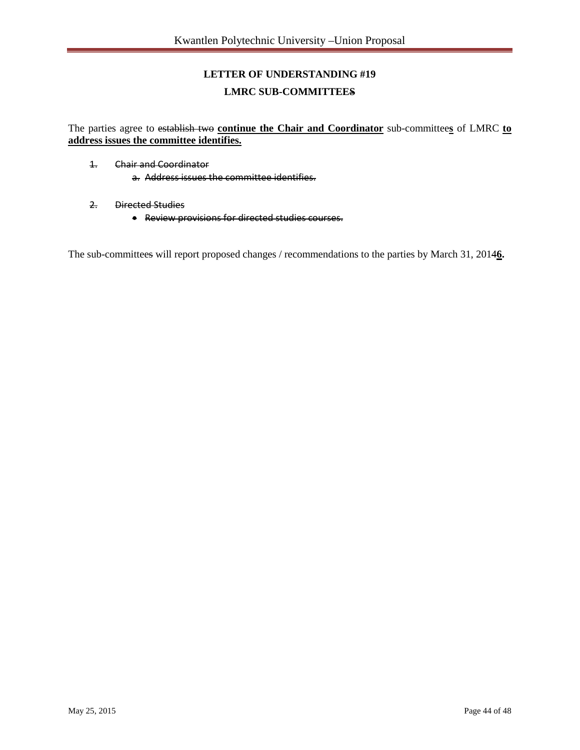# **LETTER OF UNDERSTANDING #19 LMRC SUB-COMMITTEES**

The parties agree to establish two **continue the Chair and Coordinator** sub-committee**s** of LMRC **to address issues the committee identifies.**

- 1. Chair and Coordinator a. Address issues the committee identifies.
- 2. Directed Studies
	- Review provisions for directed studies courses.

The sub-committees will report proposed changes / recommendations to the parties by March 31, 2014**6.**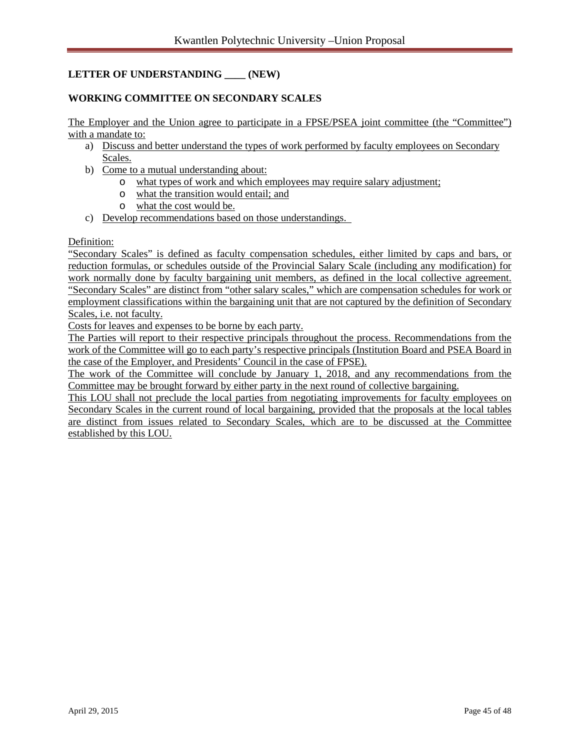# **LETTER OF UNDERSTANDING \_\_\_\_ (NEW)**

## **WORKING COMMITTEE ON SECONDARY SCALES**

The Employer and the Union agree to participate in a FPSE/PSEA joint committee (the "Committee") with a mandate to:

- a) Discuss and better understand the types of work performed by faculty employees on Secondary Scales.
- b) Come to a mutual understanding about:
	- o what types of work and which employees may require salary adjustment;
	- o what the transition would entail; and
	- o what the cost would be.
- c) Develop recommendations based on those understandings.

#### Definition:

"Secondary Scales" is defined as faculty compensation schedules, either limited by caps and bars, or reduction formulas, or schedules outside of the Provincial Salary Scale (including any modification) for work normally done by faculty bargaining unit members, as defined in the local collective agreement. "Secondary Scales" are distinct from "other salary scales," which are compensation schedules for work or employment classifications within the bargaining unit that are not captured by the definition of Secondary Scales, i.e. not faculty.

Costs for leaves and expenses to be borne by each party.

The Parties will report to their respective principals throughout the process. Recommendations from the work of the Committee will go to each party's respective principals (Institution Board and PSEA Board in the case of the Employer, and Presidents' Council in the case of FPSE).

The work of the Committee will conclude by January 1, 2018, and any recommendations from the Committee may be brought forward by either party in the next round of collective bargaining.

This LOU shall not preclude the local parties from negotiating improvements for faculty employees on Secondary Scales in the current round of local bargaining, provided that the proposals at the local tables are distinct from issues related to Secondary Scales, which are to be discussed at the Committee established by this LOU.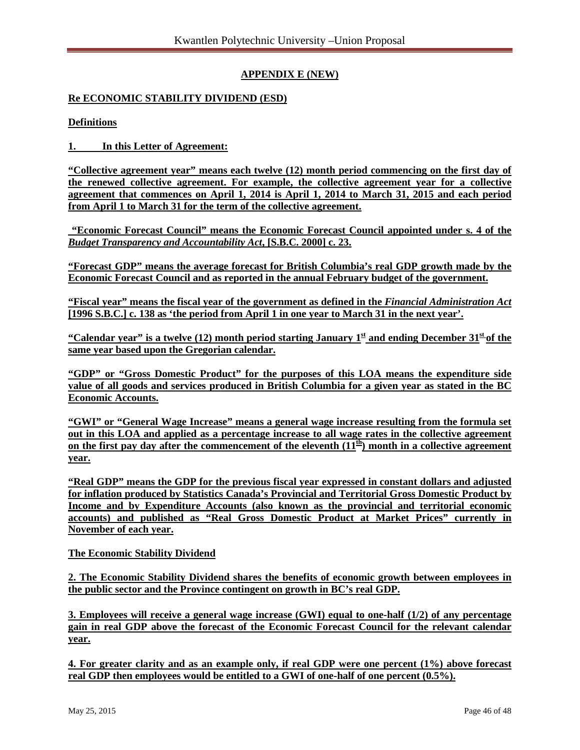# **APPENDIX E (NEW)**

# **Re ECONOMIC STABILITY DIVIDEND (ESD)**

#### **Definitions**

**1. In this Letter of Agreement:**

**"Collective agreement year" means each twelve (12) month period commencing on the first day of the renewed collective agreement. For example, the collective agreement year for a collective agreement that commences on April 1, 2014 is April 1, 2014 to March 31, 2015 and each period from April 1 to March 31 for the term of the collective agreement.**

**"Economic Forecast Council" means the Economic Forecast Council appointed under s. 4 of the**  *Budget Transparency and Accountability Act***, [S.B.C. 2000] c. 23.**

**"Forecast GDP" means the average forecast for British Columbia's real GDP growth made by the Economic Forecast Council and as reported in the annual February budget of the government.**

**"Fiscal year" means the fiscal year of the government as defined in the** *Financial Administration Act* **[1996 S.B.C.] c. 138 as 'the period from April 1 in one year to March 31 in the next year'.**

"Calendar year" is a twelve (12) month period starting January  $1^{\underline{\text{st}}}$  and ending December  $31^{\underline{\text{st}}}$  of the **same year based upon the Gregorian calendar.**

**"GDP" or "Gross Domestic Product" for the purposes of this LOA means the expenditure side value of all goods and services produced in British Columbia for a given year as stated in the BC Economic Accounts.**

**"GWI" or "General Wage Increase" means a general wage increase resulting from the formula set out in this LOA and applied as a percentage increase to all wage rates in the collective agreement**  on the first pay day after the commencement of the eleventh  $(11<sup>th</sup>)$  month in a collective agreement **year.**

**"Real GDP" means the GDP for the previous fiscal year expressed in constant dollars and adjusted for inflation produced by Statistics Canada's Provincial and Territorial Gross Domestic Product by Income and by Expenditure Accounts (also known as the provincial and territorial economic accounts) and published as "Real Gross Domestic Product at Market Prices" currently in November of each year.**

#### **The Economic Stability Dividend**

**2. The Economic Stability Dividend shares the benefits of economic growth between employees in the public sector and the Province contingent on growth in BC's real GDP.**

**3. Employees will receive a general wage increase (GWI) equal to one-half (1/2) of any percentage gain in real GDP above the forecast of the Economic Forecast Council for the relevant calendar year.**

**4. For greater clarity and as an example only, if real GDP were one percent (1%) above forecast**  real GDP then employees would be entitled to a GWI of one-half of one percent  $(0.5\%)$ .